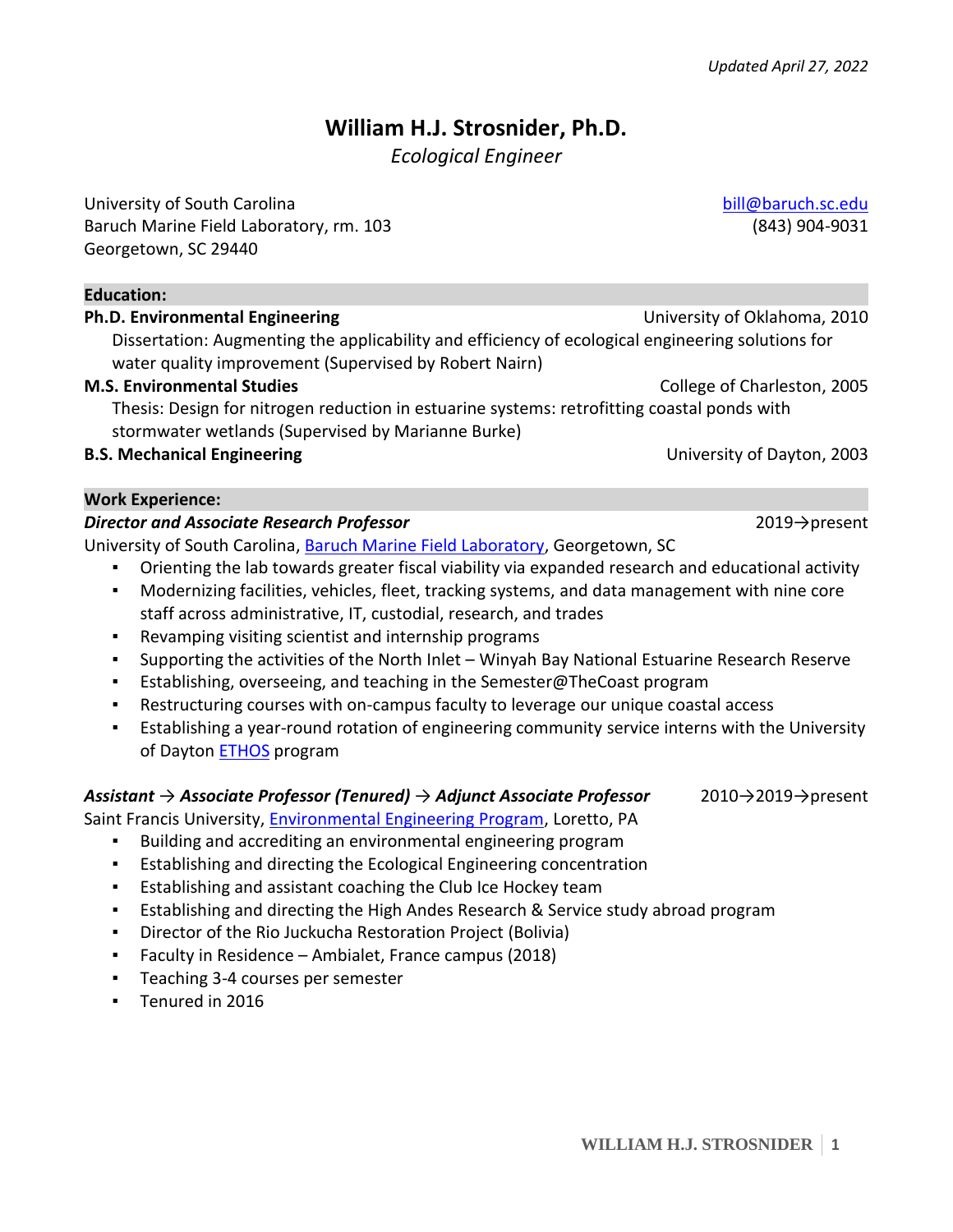# **William H.J. Strosnider, Ph.D.**

*Ecological Engineer*

University of South Carolina [bill@baruch.sc.edu](mailto:bill@baruch.sc.edu) Baruch Marine Field Laboratory, rm. 103 (843) 904-9031 Georgetown, SC 29440

#### **Education:**

# **Ph.D. Environmental Engineering Community Community Community Community Community Community Community Community** Dissertation: Augmenting the applicability and efficiency of ecological engineering solutions for water quality improvement (Supervised by Robert Nairn)

### **M.S. Environmental Studies College of Charleston, 2005**

Thesis: Design for nitrogen reduction in estuarine systems: retrofitting coastal ponds with stormwater wetlands (Supervised by Marianne Burke)

### **B.S. Mechanical Engineering Engineering Engineering Engineering Engineering Engineering Engineering Engineering**

#### **Work Experience:**

### *Director and Associate Research Professor* 2019→present

University of South Carolina, [Baruch Marine Field Laboratory,](https://www.baruch.sc.edu/baruch-marine-field-laboratory-0) Georgetown, SC

- Orienting the lab towards greater fiscal viability via expanded research and educational activity
- Modernizing facilities, vehicles, fleet, tracking systems, and data management with nine core staff across administrative, IT, custodial, research, and trades
- Revamping visiting scientist and internship programs
- Supporting the activities of the North Inlet Winyah Bay National Estuarine Research Reserve
- **E** Establishing, overseeing, and teaching in the Semester@TheCoast program
- Restructuring courses with on-campus faculty to leverage our unique coastal access
- **•** Establishing a year-round rotation of engineering community service interns with the University of Dayton [ETHOS](https://udayton.edu/engineering/connect/ethos/index.php) program

### *Assistant → Associate Professor (Tenured) → Adjunct Associate Professor* 2010→2019→present

Saint Francis University, [Environmental Engineering Program,](https://www.francis.edu/Environmental-Engineering/) Loretto, PA

- Building and accrediting an environmental engineering program
- Establishing and directing the Ecological Engineering concentration
- Establishing and assistant coaching the Club Ice Hockey team
- Establishing and directing the High Andes Research & Service study abroad program
- Director of the Rio Juckucha Restoration Project (Bolivia)
- Faculty in Residence Ambialet, France campus (2018)
- Teaching 3-4 courses per semester
- Tenured in 2016

**WILLIAM H.J. STROSNIDER 1**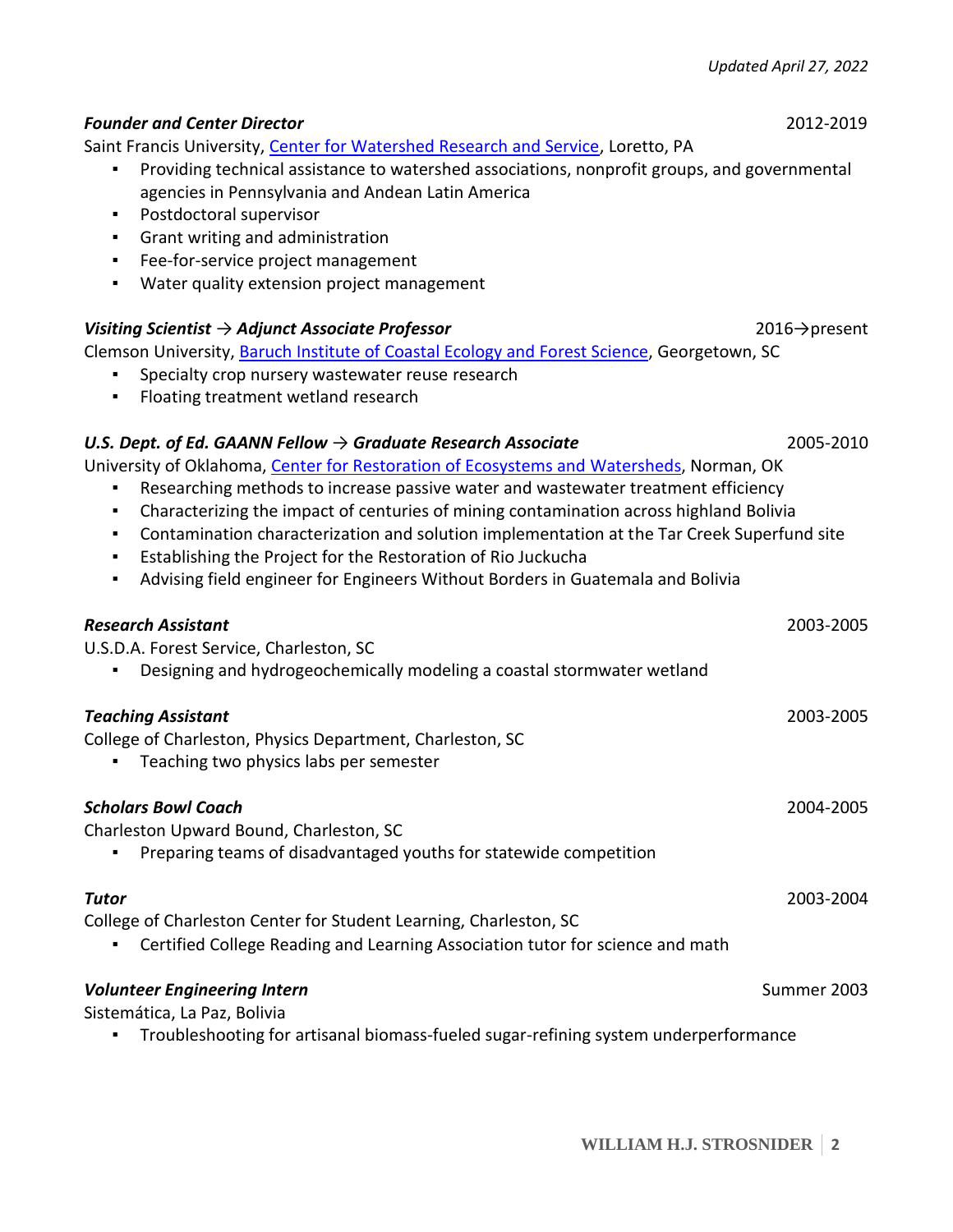# Saint Francis University, [Center for Watershed Research and Service,](https://www.francis.edu/Center-for-Watershed-Research-and-Service/) Loretto, PA ▪ Providing technical assistance to watershed associations, nonprofit groups, and governmental agencies in Pennsylvania and Andean Latin America ▪ Postdoctoral supervisor ▪ Grant writing and administration ▪ Fee-for-service project management ▪ Water quality extension project management *Visiting Scientist → Adjunct Associate Professor* 2016→present Clemson University[, Baruch Institute of Coastal Ecology and Forest Science,](https://www.clemson.edu/public/baruch/) Georgetown, SC Specialty crop nursery wastewater reuse research ▪ Floating treatment wetland research *U.S. Dept. of Ed. GAANN Fellow → Graduate Research Associate* 2005-2010 University of Oklahoma, [Center for Restoration of Ecosystems and](http://www.ou.edu/coe/centers/crew) Watersheds, Norman, OK Researching methods to increase passive water and wastewater treatment efficiency ▪ Characterizing the impact of centuries of mining contamination across highland Bolivia ▪ Contamination characterization and solution implementation at the Tar Creek Superfund site ▪ Establishing the Project for the Restoration of Rio Juckucha ▪ Advising field engineer for Engineers Without Borders in Guatemala and Bolivia *Research Assistant* 2003-2005 U.S.D.A. Forest Service, Charleston, SC ▪ Designing and hydrogeochemically modeling a coastal stormwater wetland *Teaching Assistant* 2003-2005 College of Charleston, Physics Department, Charleston, SC **•** Teaching two physics labs per semester *Scholars Bowl Coach* 2004-2005 Charleston Upward Bound, Charleston, SC ▪ Preparing teams of disadvantaged youths for statewide competition *Tutor* 2003-2004 College of Charleston Center for Student Learning, Charleston, SC **•** Certified College Reading and Learning Association tutor for science and math **Volunteer Engineering Intern** Summer 2003

*Founder and Center Director*2012-2019

Sistemática, La Paz, Bolivia

▪ Troubleshooting for artisanal biomass-fueled sugar-refining system underperformance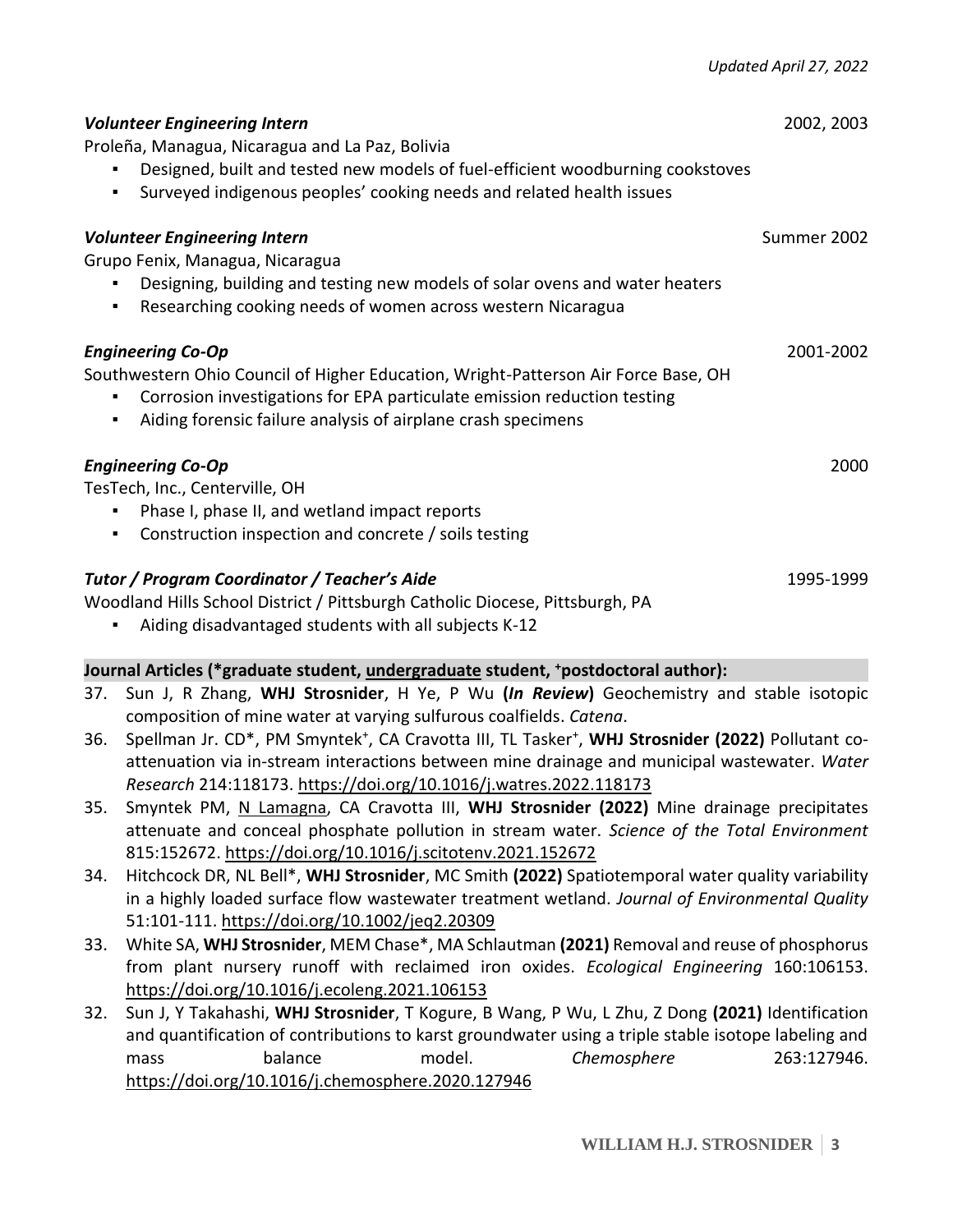| <b>Volunteer Engineering Intern</b><br>Proleña, Managua, Nicaragua and La Paz, Bolivia<br>Designed, built and tested new models of fuel-efficient woodburning cookstoves<br>Surveyed indigenous peoples' cooking needs and related health issues               | 2002, 2003  |
|----------------------------------------------------------------------------------------------------------------------------------------------------------------------------------------------------------------------------------------------------------------|-------------|
| <b>Volunteer Engineering Intern</b><br>Grupo Fenix, Managua, Nicaragua<br>Designing, building and testing new models of solar ovens and water heaters<br>٠<br>Researching cooking needs of women across western Nicaragua                                      | Summer 2002 |
| <b>Engineering Co-Op</b><br>Southwestern Ohio Council of Higher Education, Wright-Patterson Air Force Base, OH<br>Corrosion investigations for EPA particulate emission reduction testing<br>Aiding forensic failure analysis of airplane crash specimens<br>٠ | 2001-2002   |
| <b>Engineering Co-Op</b><br>TesTech, Inc., Centerville, OH<br>Phase I, phase II, and wetland impact reports<br>Construction inspection and concrete / soils testing                                                                                            | 2000        |
| Tutor / Program Coordinator / Teacher's Aide<br>Woodland Hills School District / Pittsburgh Catholic Diocese, Pittsburgh, PA                                                                                                                                   | 1995-1999   |

Aiding disadvantaged students with all subjects K-12

# **Journal Articles (\*graduate student, undergraduate student, <sup>+</sup>postdoctoral author):**

- 37. Sun J, R Zhang, **WHJ Strosnider**, H Ye, P Wu **(***In Review***)** Geochemistry and stable isotopic composition of mine water at varying sulfurous coalfields. *Catena*.
- 36. Spellman Jr. CD\*, PM Smyntek<sup>+</sup>, CA Cravotta III, TL Tasker<sup>+</sup>, WHJ Strosnider (2022) Pollutant coattenuation via in-stream interactions between mine drainage and municipal wastewater. *Water Research* 214:118173. <https://doi.org/10.1016/j.watres.2022.118173>
- 35. Smyntek PM, N Lamagna, CA Cravotta III, **WHJ Strosnider (2022)** Mine drainage precipitates attenuate and conceal phosphate pollution in stream water. *Science of the Total Environment* 815:152672[. https://doi.org/10.1016/j.scitotenv.2021.152672](https://doi.org/10.1016/j.scitotenv.2021.152672)
- 34. Hitchcock DR, NL Bell\*, **WHJ Strosnider**, MC Smith **(2022)** Spatiotemporal water quality variability in a highly loaded surface flow wastewater treatment wetland. *Journal of Environmental Quality* 51:101-111.<https://doi.org/10.1002/jeq2.20309>
- 33. White SA, **WHJ Strosnider**, MEM Chase\*, MA Schlautman **(2021)** Removal and reuse of phosphorus from plant nursery runoff with reclaimed iron oxides. *Ecological Engineering* 160:106153. <https://doi.org/10.1016/j.ecoleng.2021.106153>
- 32. Sun J, Y Takahashi, **WHJ Strosnider**, T Kogure, B Wang, P Wu, L Zhu, Z Dong **(2021)** Identification and quantification of contributions to karst groundwater using a triple stable isotope labeling and mass balance model. *Chemosphere* 263:127946. <https://doi.org/10.1016/j.chemosphere.2020.127946>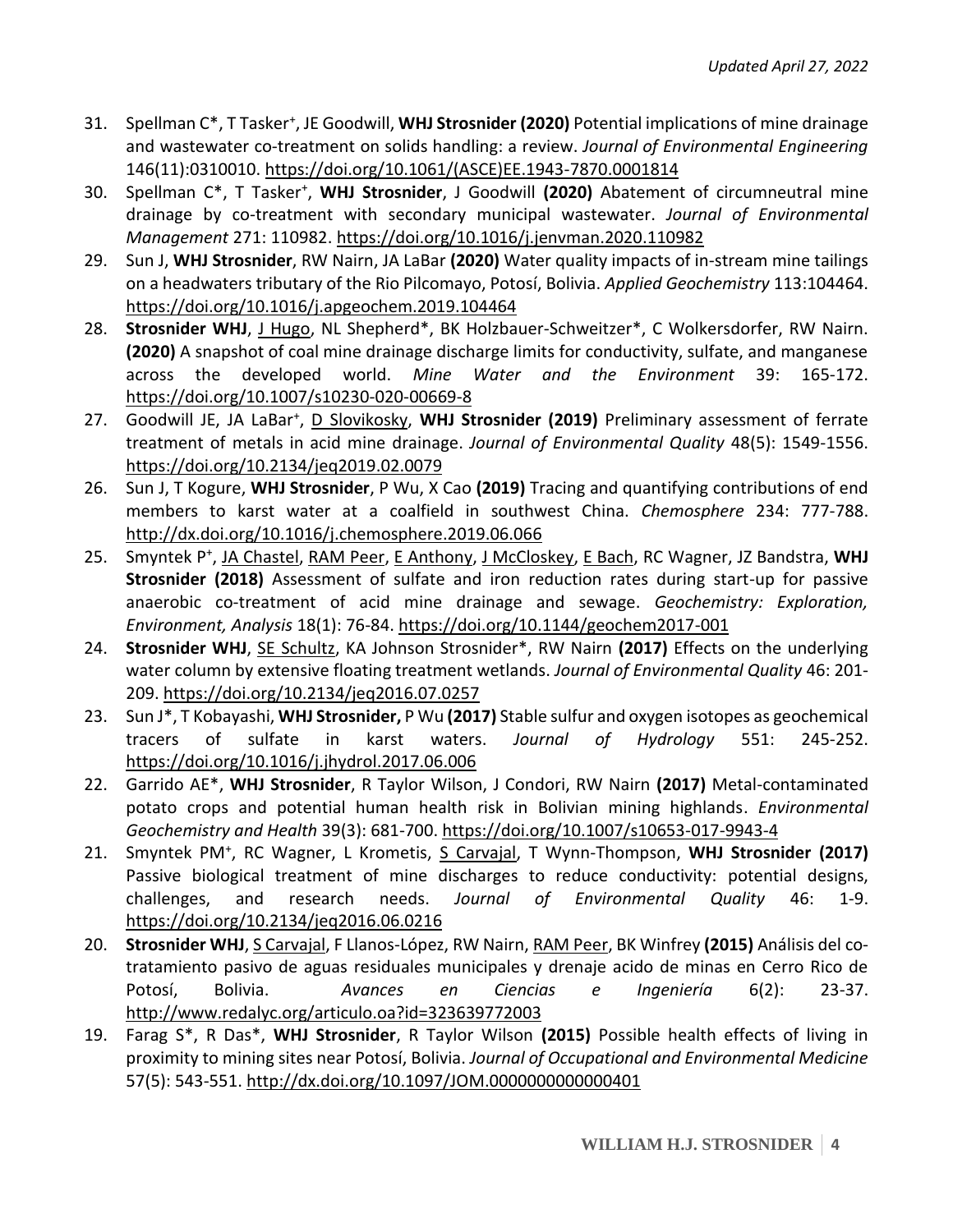- 31. Spellman C\*, T Tasker<sup>+</sup> , JE Goodwill, **WHJ Strosnider (2020)** Potential implications of mine drainage and wastewater co-treatment on solids handling: a review. *Journal of Environmental Engineering* 146(11):0310010. [https://doi.org/10.1061/\(ASCE\)EE.1943-7870.0001814](https://doi.org/10.1061/(ASCE)EE.1943-7870.0001814)
- 30. Spellman C\*, T Tasker<sup>+</sup>, WHJ Strosnider, J Goodwill (2020) Abatement of circumneutral mine drainage by co-treatment with secondary municipal wastewater. *Journal of Environmental Management* 271: 110982. <https://doi.org/10.1016/j.jenvman.2020.110982>
- 29. Sun J, **WHJ Strosnider**, RW Nairn, JA LaBar **(2020)** Water quality impacts of in-stream mine tailings on a headwaters tributary of the Rio Pilcomayo, Potosí, Bolivia. *Applied Geochemistry* 113:104464. <https://doi.org/10.1016/j.apgeochem.2019.104464>
- 28. Strosnider WHJ, J Hugo, NL Shepherd\*, BK Holzbauer-Schweitzer\*, C Wolkersdorfer, RW Nairn. **(2020)** A snapshot of coal mine drainage discharge limits for conductivity, sulfate, and manganese across the developed world. *Mine Water and the Environment* 39: 165-172. <https://doi.org/10.1007/s10230-020-00669-8>
- 27. Goodwill JE, JA LaBar<sup>+</sup>, D Slovikosky, WHJ Strosnider (2019) Preliminary assessment of ferrate treatment of metals in acid mine drainage. *Journal of Environmental Quality* 48(5): 1549-1556. <https://doi.org/10.2134/jeq2019.02.0079>
- 26. Sun J, T Kogure, **WHJ Strosnider**, P Wu, X Cao **(2019)** Tracing and quantifying contributions of end members to karst water at a coalfield in southwest China. *Chemosphere* 234: 777-788. <http://dx.doi.org/10.1016/j.chemosphere.2019.06.066>
- 25. Smyntek P<sup>+</sup>, JA Chastel, RAM Peer, E Anthony, J McCloskey, E Bach, RC Wagner, JZ Bandstra, WHJ **Strosnider (2018)** Assessment of sulfate and iron reduction rates during start-up for passive anaerobic co-treatment of acid mine drainage and sewage. *Geochemistry: Exploration, Environment, Analysis* 18(1): 76-84. <https://doi.org/10.1144/geochem2017-001>
- 24. **Strosnider WHJ**, SE Schultz, KA Johnson Strosnider\*, RW Nairn **(2017)** Effects on the underlying water column by extensive floating treatment wetlands. *Journal of Environmental Quality* 46: 201- 209. <https://doi.org/10.2134/jeq2016.07.0257>
- 23. Sun J\*, T Kobayashi, **WHJ Strosnider,** P Wu **(2017)** Stable sulfur and oxygen isotopes as geochemical tracers of sulfate in karst waters. *Journal of Hydrology* 551: 245-252. <https://doi.org/10.1016/j.jhydrol.2017.06.006>
- 22. Garrido AE\*, **WHJ Strosnider**, R Taylor Wilson, J Condori, RW Nairn **(2017)** Metal-contaminated potato crops and potential human health risk in Bolivian mining highlands. *Environmental Geochemistry and Health* 39(3): 681-700. <https://doi.org/10.1007/s10653-017-9943-4>
- 21. Smyntek PM<sup>+</sup> , RC Wagner, L Krometis, S Carvajal, T Wynn-Thompson, **WHJ Strosnider (2017)** Passive biological treatment of mine discharges to reduce conductivity: potential designs, challenges, and research needs. *Journal of Environmental Quality* 46: 1-9. <https://doi.org/10.2134/jeq2016.06.0216>
- 20. **Strosnider WHJ**, S Carvajal, F Llanos-López, RW Nairn, RAM Peer, BK Winfrey **(2015)** Análisis del cotratamiento pasivo de aguas residuales municipales y drenaje acido de minas en Cerro Rico de Potosí, Bolivia. *Avances en Ciencias e Ingeniería* 6(2): 23-37. <http://www.redalyc.org/articulo.oa?id=323639772003>
- 19. Farag S\*, R Das\*, **WHJ Strosnider**, R Taylor Wilson **(2015)** Possible health effects of living in proximity to mining sites near Potosí, Bolivia. *Journal of Occupational and Environmental Medicine* 57(5): 543-551. <http://dx.doi.org/10.1097/JOM.0000000000000401>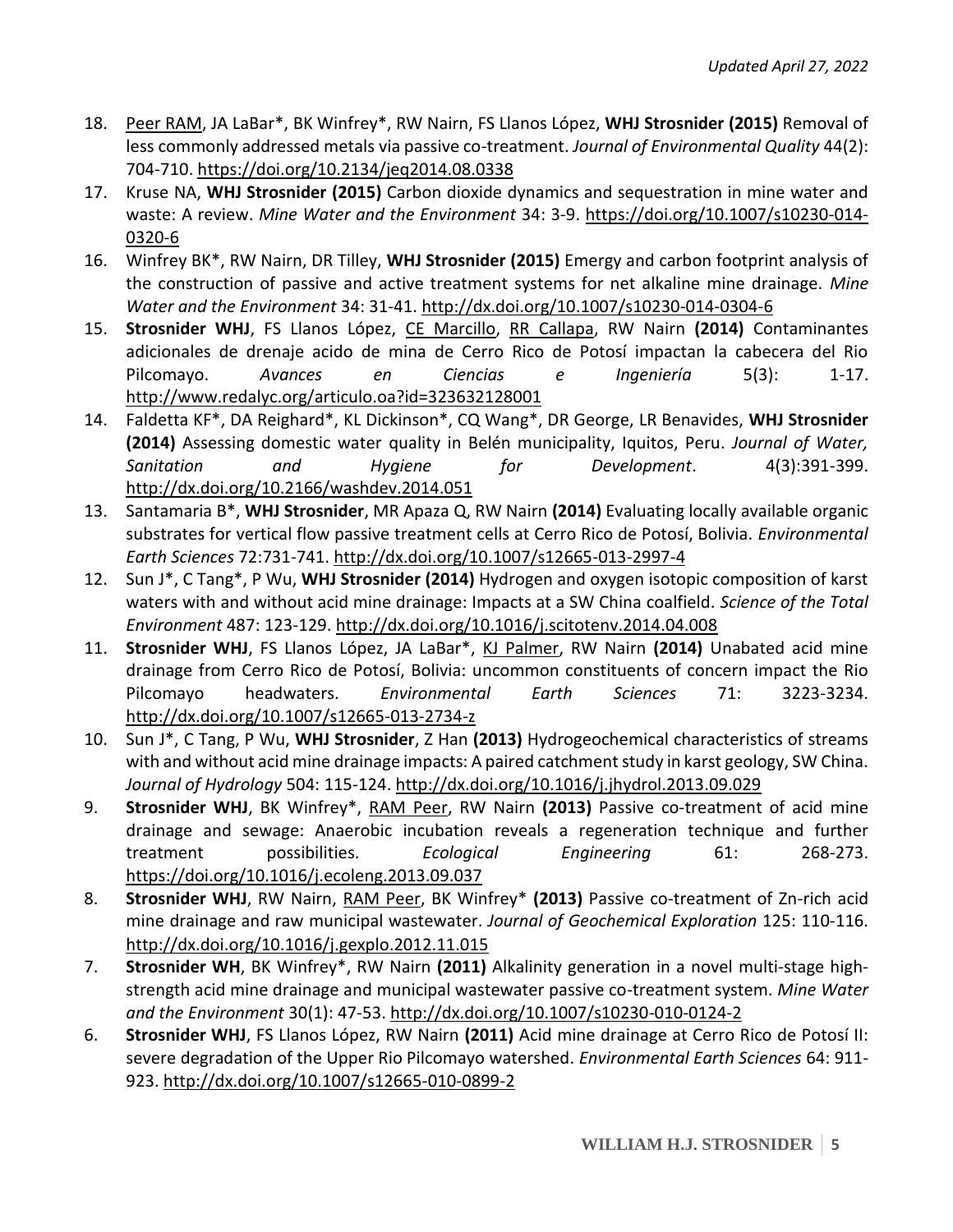- 18. Peer RAM, JA LaBar\*, BK Winfrey\*, RW Nairn, FS Llanos López, **WHJ Strosnider (2015)** Removal of less commonly addressed metals via passive co-treatment. *Journal of Environmental Quality* 44(2): 704-710. <https://doi.org/10.2134/jeq2014.08.0338>
- 17. Kruse NA, **WHJ Strosnider (2015)** Carbon dioxide dynamics and sequestration in mine water and waste: A review. *Mine Water and the Environment* 34: 3-9. [https://doi.org/10.1007/s10230-014-](https://doi.org/10.1007/s10230-014-0320-6) [0320-6](https://doi.org/10.1007/s10230-014-0320-6)
- 16. Winfrey BK\*, RW Nairn, DR Tilley, **WHJ Strosnider (2015)** Emergy and carbon footprint analysis of the construction of passive and active treatment systems for net alkaline mine drainage. *Mine Water and the Environment* 34: 31-41. <http://dx.doi.org/10.1007/s10230-014-0304-6>
- 15. **Strosnider WHJ**, FS Llanos López, CE Marcillo, RR Callapa, RW Nairn **(2014)** Contaminantes adicionales de drenaje acido de mina de Cerro Rico de Potosí impactan la cabecera del Rio Pilcomayo. *Avances en Ciencias e Ingeniería* 5(3): 1-17. <http://www.redalyc.org/articulo.oa?id=323632128001>
- 14. Faldetta KF\*, DA Reighard\*, KL Dickinson\*, CQ Wang\*, DR George, LR Benavides, **WHJ Strosnider (2014)** Assessing domestic water quality in Belén municipality, Iquitos, Peru. *Journal of Water, Sanitation and Hygiene for Development*. 4(3):391-399. <http://dx.doi.org/10.2166/washdev.2014.051>
- 13. Santamaria B\*, **WHJ Strosnider**, MR Apaza Q, RW Nairn **(2014)** Evaluating locally available organic substrates for vertical flow passive treatment cells at Cerro Rico de Potosí, Bolivia. *Environmental Earth Sciences* 72:731-741. <http://dx.doi.org/10.1007/s12665-013-2997-4>
- 12. Sun J\*, C Tang\*, P Wu, **WHJ Strosnider (2014)** Hydrogen and oxygen isotopic composition of karst waters with and without acid mine drainage: Impacts at a SW China coalfield. *Science of the Total Environment* 487: 123-129. <http://dx.doi.org/10.1016/j.scitotenv.2014.04.008>
- 11. **Strosnider WHJ**, FS Llanos López, JA LaBar\*, KJ Palmer, RW Nairn **(2014)** Unabated acid mine drainage from Cerro Rico de Potosí, Bolivia: uncommon constituents of concern impact the Rio Pilcomayo headwaters. *Environmental Earth Sciences* 71: 3223-3234. <http://dx.doi.org/10.1007/s12665-013-2734-z>
- 10. Sun J\*, C Tang, P Wu, **WHJ Strosnider**, Z Han **(2013)** Hydrogeochemical characteristics of streams with and without acid mine drainage impacts: A paired catchment study in karst geology, SW China. *Journal of Hydrology* 504: 115-124. <http://dx.doi.org/10.1016/j.jhydrol.2013.09.029>
- 9. **Strosnider WHJ**, BK Winfrey\*, RAM Peer, RW Nairn **(2013)** Passive co-treatment of acid mine drainage and sewage: Anaerobic incubation reveals a regeneration technique and further treatment possibilities. *Ecological Engineering* 61: 268-273. <https://doi.org/10.1016/j.ecoleng.2013.09.037>
- 8. **Strosnider WHJ**, RW Nairn, RAM Peer, BK Winfrey\* **(2013)** Passive co-treatment of Zn-rich acid mine drainage and raw municipal wastewater. *Journal of Geochemical Exploration* 125: 110-116. <http://dx.doi.org/10.1016/j.gexplo.2012.11.015>
- 7. **Strosnider WH**, BK Winfrey\*, RW Nairn **(2011)** Alkalinity generation in a novel multi-stage highstrength acid mine drainage and municipal wastewater passive co-treatment system. *Mine Water and the Environment* 30(1): 47-53. <http://dx.doi.org/10.1007/s10230-010-0124-2>
- 6. **Strosnider WHJ**, FS Llanos López, RW Nairn **(2011)** Acid mine drainage at Cerro Rico de Potosí II: severe degradation of the Upper Rio Pilcomayo watershed. *Environmental Earth Sciences* 64: 911- 923. <http://dx.doi.org/10.1007/s12665-010-0899-2>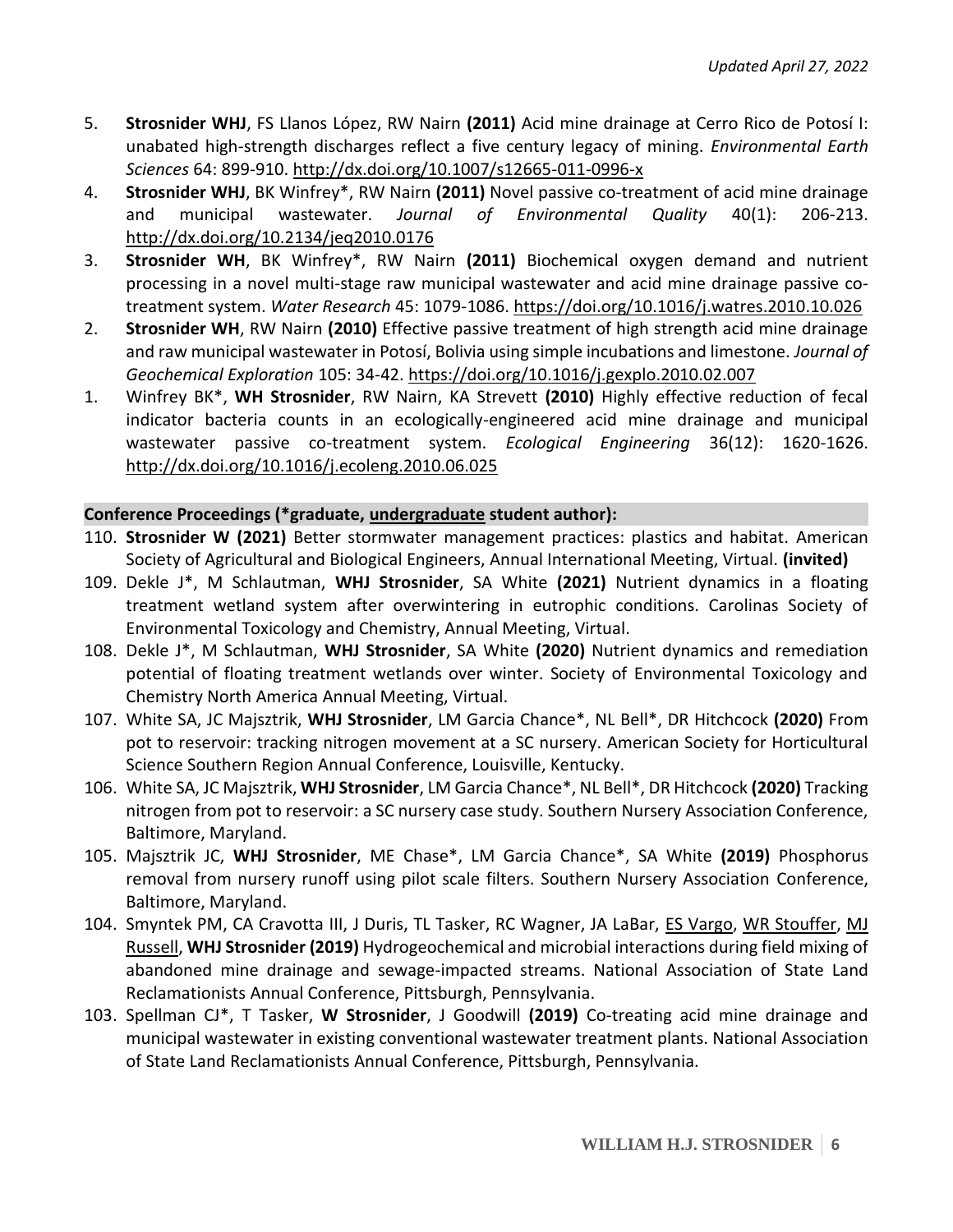- 5. **Strosnider WHJ**, FS Llanos López, RW Nairn **(2011)** Acid mine drainage at Cerro Rico de Potosí I: unabated high-strength discharges reflect a five century legacy of mining. *Environmental Earth Sciences* 64: 899-910. <http://dx.doi.org/10.1007/s12665-011-0996-x>
- 4. **Strosnider WHJ**, BK Winfrey\*, RW Nairn **(2011)** Novel passive co-treatment of acid mine drainage and municipal wastewater. *Journal of Environmental Quality* 40(1): 206-213. <http://dx.doi.org/10.2134/jeq2010.0176>
- 3. **Strosnider WH**, BK Winfrey\*, RW Nairn **(2011)** Biochemical oxygen demand and nutrient processing in a novel multi-stage raw municipal wastewater and acid mine drainage passive cotreatment system. *Water Research* 45: 1079-1086. <https://doi.org/10.1016/j.watres.2010.10.026>
- 2. **Strosnider WH**, RW Nairn **(2010)** Effective passive treatment of high strength acid mine drainage and raw municipal wastewater in Potosí, Bolivia using simple incubations and limestone. *Journal of Geochemical Exploration* 105: 34-42. <https://doi.org/10.1016/j.gexplo.2010.02.007>
- 1. Winfrey BK\*, **WH Strosnider**, RW Nairn, KA Strevett **(2010)** Highly effective reduction of fecal indicator bacteria counts in an ecologically-engineered acid mine drainage and municipal wastewater passive co-treatment system. *Ecological Engineering* 36(12): 1620-1626. <http://dx.doi.org/10.1016/j.ecoleng.2010.06.025>

### **Conference Proceedings (\*graduate, undergraduate student author):**

- 110. **Strosnider W (2021)** Better stormwater management practices: plastics and habitat. American Society of Agricultural and Biological Engineers, Annual International Meeting, Virtual. **(invited)**
- 109. Dekle J\*, M Schlautman, **WHJ Strosnider**, SA White **(2021)** Nutrient dynamics in a floating treatment wetland system after overwintering in eutrophic conditions. Carolinas Society of Environmental Toxicology and Chemistry, Annual Meeting, Virtual.
- 108. Dekle J\*, M Schlautman, **WHJ Strosnider**, SA White **(2020)** Nutrient dynamics and remediation potential of floating treatment wetlands over winter. Society of Environmental Toxicology and Chemistry North America Annual Meeting, Virtual.
- 107. White SA, JC Majsztrik, **WHJ Strosnider**, LM Garcia Chance\*, NL Bell\*, DR Hitchcock **(2020)** From pot to reservoir: tracking nitrogen movement at a SC nursery. American Society for Horticultural Science Southern Region Annual Conference, Louisville, Kentucky.
- 106. White SA, JC Majsztrik, **WHJ Strosnider**, LM Garcia Chance\*, NL Bell\*, DR Hitchcock **(2020)** Tracking nitrogen from pot to reservoir: a SC nursery case study. Southern Nursery Association Conference, Baltimore, Maryland.
- 105. Majsztrik JC, **WHJ Strosnider**, ME Chase\*, LM Garcia Chance\*, SA White **(2019)** Phosphorus removal from nursery runoff using pilot scale filters. Southern Nursery Association Conference, Baltimore, Maryland.
- 104. Smyntek PM, CA Cravotta III, J Duris, TL Tasker, RC Wagner, JA LaBar, ES Vargo, WR Stouffer, MJ Russell, **WHJ Strosnider (2019)** Hydrogeochemical and microbial interactions during field mixing of abandoned mine drainage and sewage-impacted streams. National Association of State Land Reclamationists Annual Conference, Pittsburgh, Pennsylvania.
- 103. Spellman CJ\*, T Tasker, **W Strosnider**, J Goodwill **(2019)** Co-treating acid mine drainage and municipal wastewater in existing conventional wastewater treatment plants. National Association of State Land Reclamationists Annual Conference, Pittsburgh, Pennsylvania.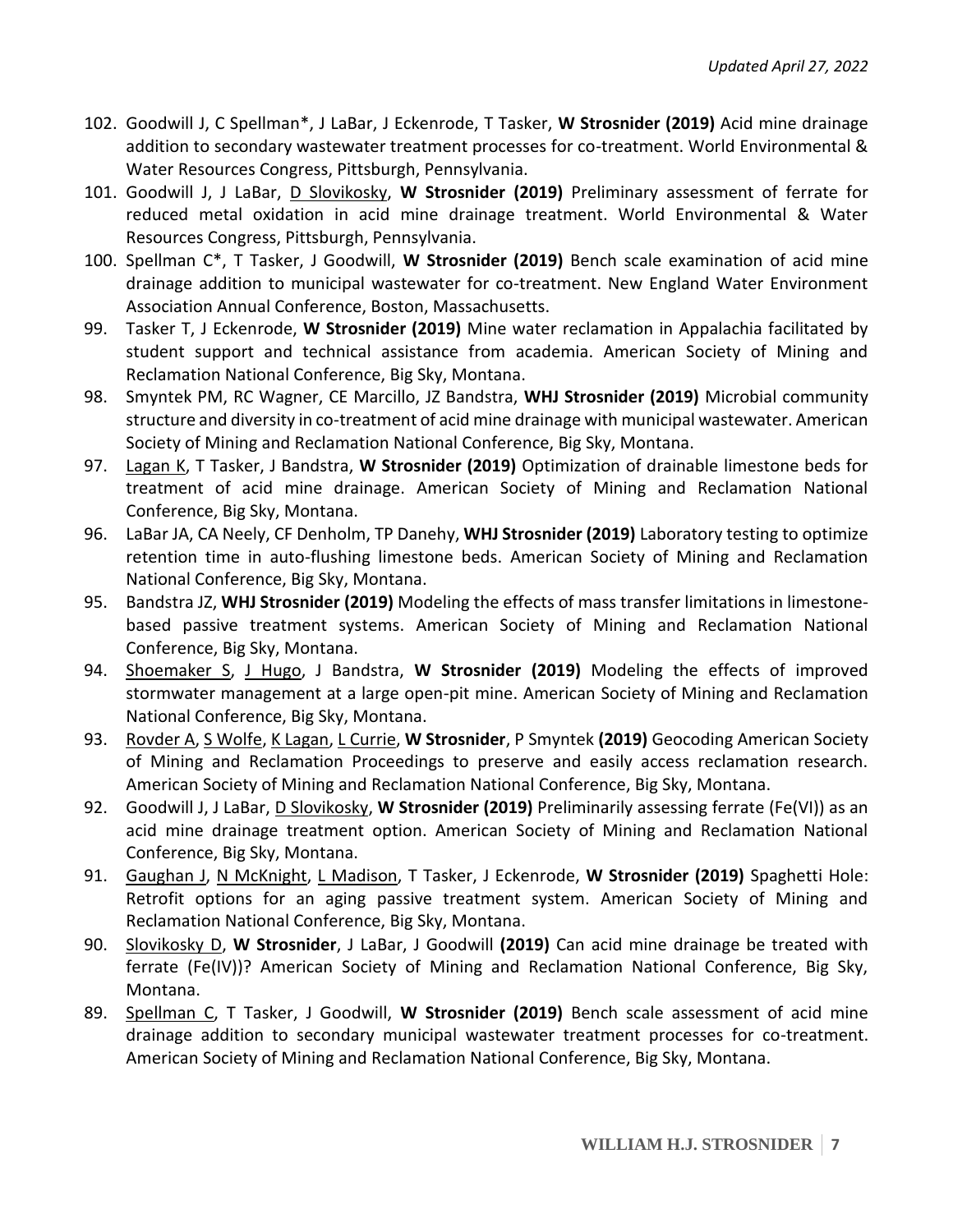- 102. Goodwill J, C Spellman\*, J LaBar, J Eckenrode, T Tasker, **W Strosnider (2019)** Acid mine drainage addition to secondary wastewater treatment processes for co-treatment. World Environmental & Water Resources Congress, Pittsburgh, Pennsylvania.
- 101. Goodwill J, J LaBar, D Slovikosky, **W Strosnider (2019)** Preliminary assessment of ferrate for reduced metal oxidation in acid mine drainage treatment. World Environmental & Water Resources Congress, Pittsburgh, Pennsylvania.
- 100. Spellman C\*, T Tasker, J Goodwill, **W Strosnider (2019)** Bench scale examination of acid mine drainage addition to municipal wastewater for co-treatment. New England Water Environment Association Annual Conference, Boston, Massachusetts.
- 99. Tasker T, J Eckenrode, **W Strosnider (2019)** Mine water reclamation in Appalachia facilitated by student support and technical assistance from academia. American Society of Mining and Reclamation National Conference, Big Sky, Montana.
- 98. Smyntek PM, RC Wagner, CE Marcillo, JZ Bandstra, **WHJ Strosnider (2019)** Microbial community structure and diversity in co-treatment of acid mine drainage with municipal wastewater. American Society of Mining and Reclamation National Conference, Big Sky, Montana.
- 97. Lagan K, T Tasker, J Bandstra, **W Strosnider (2019)** Optimization of drainable limestone beds for treatment of acid mine drainage. American Society of Mining and Reclamation National Conference, Big Sky, Montana.
- 96. LaBar JA, CA Neely, CF Denholm, TP Danehy, **WHJ Strosnider (2019)** Laboratory testing to optimize retention time in auto-flushing limestone beds. American Society of Mining and Reclamation National Conference, Big Sky, Montana.
- 95. Bandstra JZ, **WHJ Strosnider (2019)** Modeling the effects of mass transfer limitations in limestonebased passive treatment systems. American Society of Mining and Reclamation National Conference, Big Sky, Montana.
- 94. Shoemaker S, J Hugo, J Bandstra, **W Strosnider (2019)** Modeling the effects of improved stormwater management at a large open-pit mine. American Society of Mining and Reclamation National Conference, Big Sky, Montana.
- 93. Rovder A, S Wolfe, K Lagan, L Currie, **W Strosnider**, P Smyntek **(2019)** Geocoding American Society of Mining and Reclamation Proceedings to preserve and easily access reclamation research. American Society of Mining and Reclamation National Conference, Big Sky, Montana.
- 92. Goodwill J, J LaBar, D Slovikosky, **W Strosnider (2019)** Preliminarily assessing ferrate (Fe(VI)) as an acid mine drainage treatment option. American Society of Mining and Reclamation National Conference, Big Sky, Montana.
- 91. Gaughan J, N McKnight, L Madison, T Tasker, J Eckenrode, **W Strosnider (2019)** Spaghetti Hole: Retrofit options for an aging passive treatment system. American Society of Mining and Reclamation National Conference, Big Sky, Montana.
- 90. Slovikosky D, **W Strosnider**, J LaBar, J Goodwill **(2019)** Can acid mine drainage be treated with ferrate (Fe(IV))? American Society of Mining and Reclamation National Conference, Big Sky, Montana.
- 89. Spellman C, T Tasker, J Goodwill, **W Strosnider (2019)** Bench scale assessment of acid mine drainage addition to secondary municipal wastewater treatment processes for co-treatment. American Society of Mining and Reclamation National Conference, Big Sky, Montana.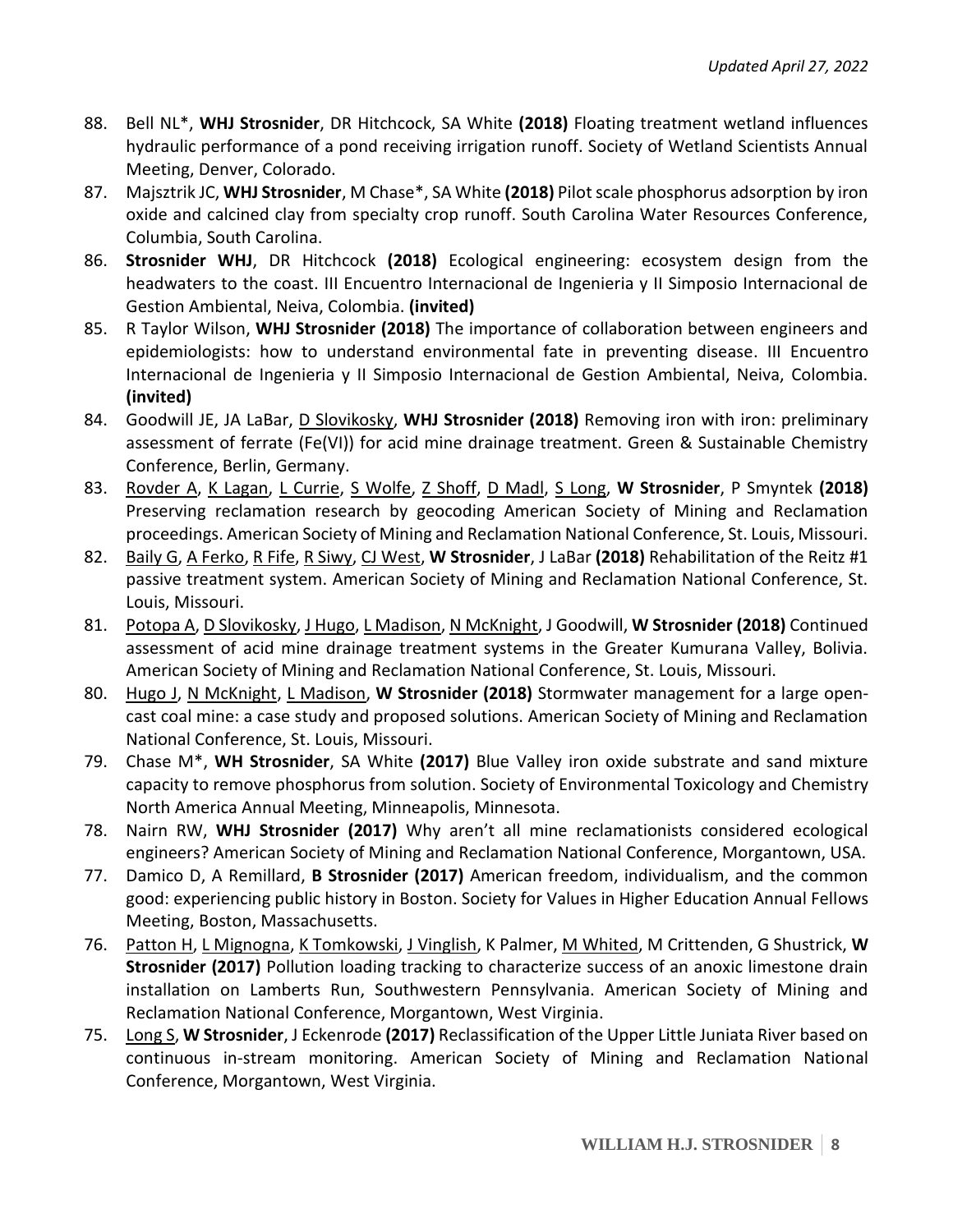- 88. Bell NL\*, **WHJ Strosnider**, DR Hitchcock, SA White **(2018)** Floating treatment wetland influences hydraulic performance of a pond receiving irrigation runoff. Society of Wetland Scientists Annual Meeting, Denver, Colorado.
- 87. Majsztrik JC, **WHJ Strosnider**, M Chase\*, SA White **(2018)** Pilot scale phosphorus adsorption by iron oxide and calcined clay from specialty crop runoff. South Carolina Water Resources Conference, Columbia, South Carolina.
- 86. **Strosnider WHJ**, DR Hitchcock **(2018)** Ecological engineering: ecosystem design from the headwaters to the coast. III Encuentro Internacional de Ingenieria y II Simposio Internacional de Gestion Ambiental, Neiva, Colombia. **(invited)**
- 85. R Taylor Wilson, **WHJ Strosnider (2018)** The importance of collaboration between engineers and epidemiologists: how to understand environmental fate in preventing disease. III Encuentro Internacional de Ingenieria y II Simposio Internacional de Gestion Ambiental, Neiva, Colombia. **(invited)**
- 84. Goodwill JE, JA LaBar, D Slovikosky, **WHJ Strosnider (2018)** Removing iron with iron: preliminary assessment of ferrate (Fe(VI)) for acid mine drainage treatment. Green & Sustainable Chemistry Conference, Berlin, Germany.
- 83. Rovder A, K Lagan, L Currie, S Wolfe, Z Shoff, D Madl, S Long, **W Strosnider**, P Smyntek **(2018)** Preserving reclamation research by geocoding American Society of Mining and Reclamation proceedings. American Society of Mining and Reclamation National Conference, St. Louis, Missouri.
- 82. Baily G, A Ferko, R Fife, R Siwy, CJ West, **W Strosnider**, J LaBar **(2018)** Rehabilitation of the Reitz #1 passive treatment system. American Society of Mining and Reclamation National Conference, St. Louis, Missouri.
- 81. Potopa A, D Slovikosky, J Hugo, L Madison, N McKnight, J Goodwill, **W Strosnider (2018)** Continued assessment of acid mine drainage treatment systems in the Greater Kumurana Valley, Bolivia. American Society of Mining and Reclamation National Conference, St. Louis, Missouri.
- 80. Hugo J, N McKnight, L Madison, **W Strosnider (2018)** Stormwater management for a large opencast coal mine: a case study and proposed solutions. American Society of Mining and Reclamation National Conference, St. Louis, Missouri.
- 79. Chase M\*, **WH Strosnider**, SA White **(2017)** Blue Valley iron oxide substrate and sand mixture capacity to remove phosphorus from solution. Society of Environmental Toxicology and Chemistry North America Annual Meeting, Minneapolis, Minnesota.
- 78. Nairn RW, **WHJ Strosnider (2017)** Why aren't all mine reclamationists considered ecological engineers? American Society of Mining and Reclamation National Conference, Morgantown, USA.
- 77. Damico D, A Remillard, **B Strosnider (2017)** American freedom, individualism, and the common good: experiencing public history in Boston. Society for Values in Higher Education Annual Fellows Meeting, Boston, Massachusetts.
- 76. Patton H, L Mignogna, K Tomkowski, J Vinglish, K Palmer, M Whited, M Crittenden, G Shustrick, **W Strosnider (2017)** Pollution loading tracking to characterize success of an anoxic limestone drain installation on Lamberts Run, Southwestern Pennsylvania. American Society of Mining and Reclamation National Conference, Morgantown, West Virginia.
- 75. Long S, **W Strosnider**, J Eckenrode **(2017)** Reclassification of the Upper Little Juniata River based on continuous in-stream monitoring. American Society of Mining and Reclamation National Conference, Morgantown, West Virginia.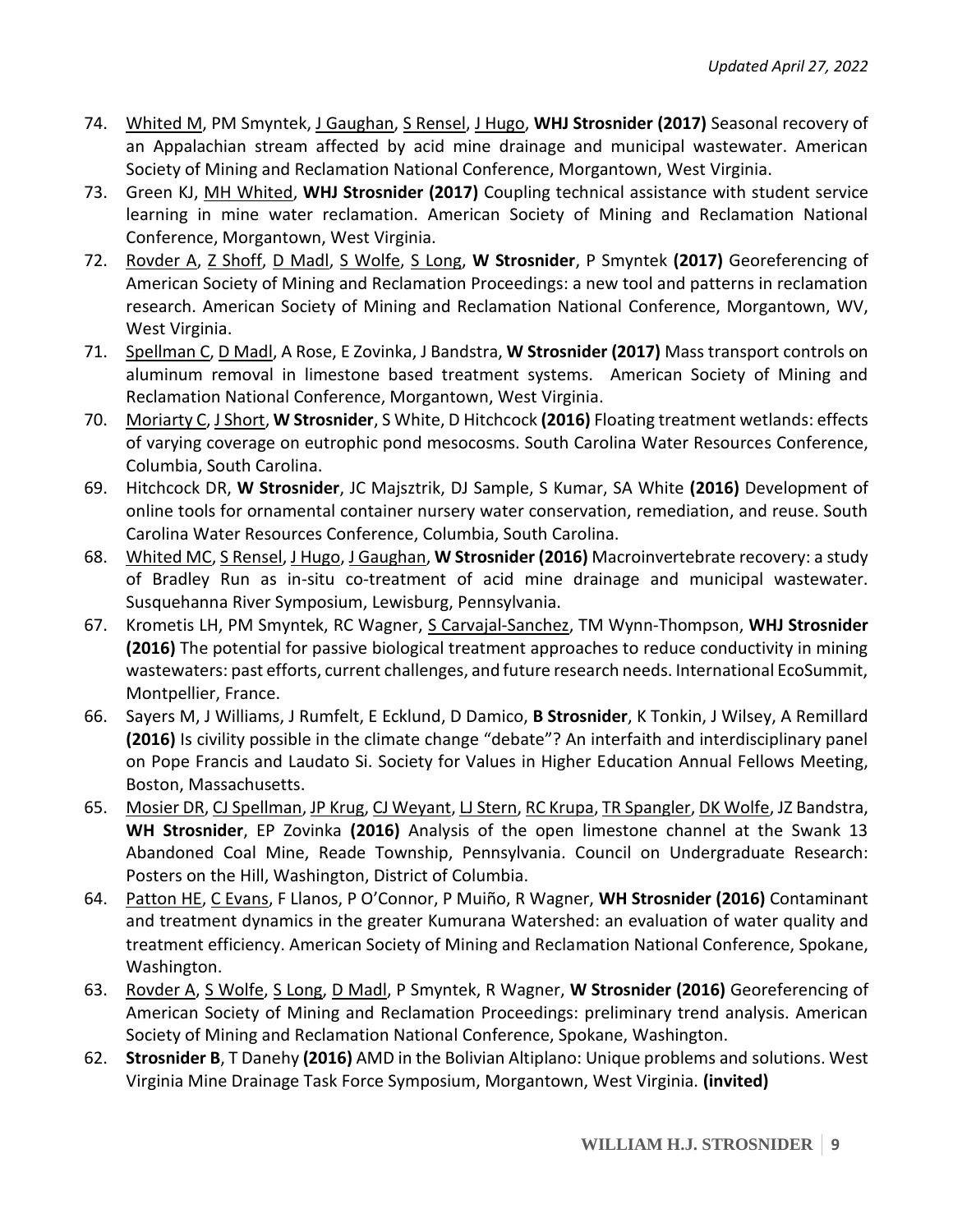- 74. Whited M, PM Smyntek, J Gaughan, S Rensel, J Hugo, **WHJ Strosnider (2017)** Seasonal recovery of an Appalachian stream affected by acid mine drainage and municipal wastewater. American Society of Mining and Reclamation National Conference, Morgantown, West Virginia.
- 73. Green KJ, MH Whited, **WHJ Strosnider (2017)** Coupling technical assistance with student service learning in mine water reclamation. American Society of Mining and Reclamation National Conference, Morgantown, West Virginia.
- 72. Rovder A, Z Shoff, D Madl, S Wolfe, S Long, **W Strosnider**, P Smyntek **(2017)** Georeferencing of American Society of Mining and Reclamation Proceedings: a new tool and patterns in reclamation research. American Society of Mining and Reclamation National Conference, Morgantown, WV, West Virginia.
- 71. Spellman C, D Madl, A Rose, E Zovinka, J Bandstra, **W Strosnider (2017)** Mass transport controls on aluminum removal in limestone based treatment systems. American Society of Mining and Reclamation National Conference, Morgantown, West Virginia.
- 70. Moriarty C, J Short, **W Strosnider**, S White, D Hitchcock **(2016)** Floating treatment wetlands: effects of varying coverage on eutrophic pond mesocosms. South Carolina Water Resources Conference, Columbia, South Carolina.
- 69. Hitchcock DR, **W Strosnider**, JC Majsztrik, DJ Sample, S Kumar, SA White **(2016)** Development of online tools for ornamental container nursery water conservation, remediation, and reuse. South Carolina Water Resources Conference, Columbia, South Carolina.
- 68. Whited MC, S Rensel, J Hugo, J Gaughan, **W Strosnider (2016)** Macroinvertebrate recovery: a study of Bradley Run as in-situ co-treatment of acid mine drainage and municipal wastewater. Susquehanna River Symposium, Lewisburg, Pennsylvania.
- 67. Krometis LH, PM Smyntek, RC Wagner, S Carvajal-Sanchez, TM Wynn-Thompson, **WHJ Strosnider (2016)** The potential for passive biological treatment approaches to reduce conductivity in mining wastewaters: past efforts, current challenges, and future research needs. International EcoSummit, Montpellier, France.
- 66. Sayers M, J Williams, J Rumfelt, E Ecklund, D Damico, **B Strosnider**, K Tonkin, J Wilsey, A Remillard **(2016)** Is civility possible in the climate change "debate"? An interfaith and interdisciplinary panel on Pope Francis and Laudato Si. Society for Values in Higher Education Annual Fellows Meeting, Boston, Massachusetts.
- 65. Mosier DR, CJ Spellman, JP Krug, CJ Weyant, LJ Stern, RC Krupa, TR Spangler, DK Wolfe, JZ Bandstra, **WH Strosnider**, EP Zovinka **(2016)** Analysis of the open limestone channel at the Swank 13 Abandoned Coal Mine, Reade Township, Pennsylvania. Council on Undergraduate Research: Posters on the Hill, Washington, District of Columbia.
- 64. Patton HE, C Evans, F Llanos, P O'Connor, P Muiño, R Wagner, **WH Strosnider (2016)** Contaminant and treatment dynamics in the greater Kumurana Watershed: an evaluation of water quality and treatment efficiency. American Society of Mining and Reclamation National Conference, Spokane, Washington.
- 63. Rovder A, S Wolfe, S Long, D Madl, P Smyntek, R Wagner, **W Strosnider (2016)** Georeferencing of American Society of Mining and Reclamation Proceedings: preliminary trend analysis. American Society of Mining and Reclamation National Conference, Spokane, Washington.
- 62. **Strosnider B**, T Danehy **(2016)** AMD in the Bolivian Altiplano: Unique problems and solutions. West Virginia Mine Drainage Task Force Symposium, Morgantown, West Virginia. **(invited)**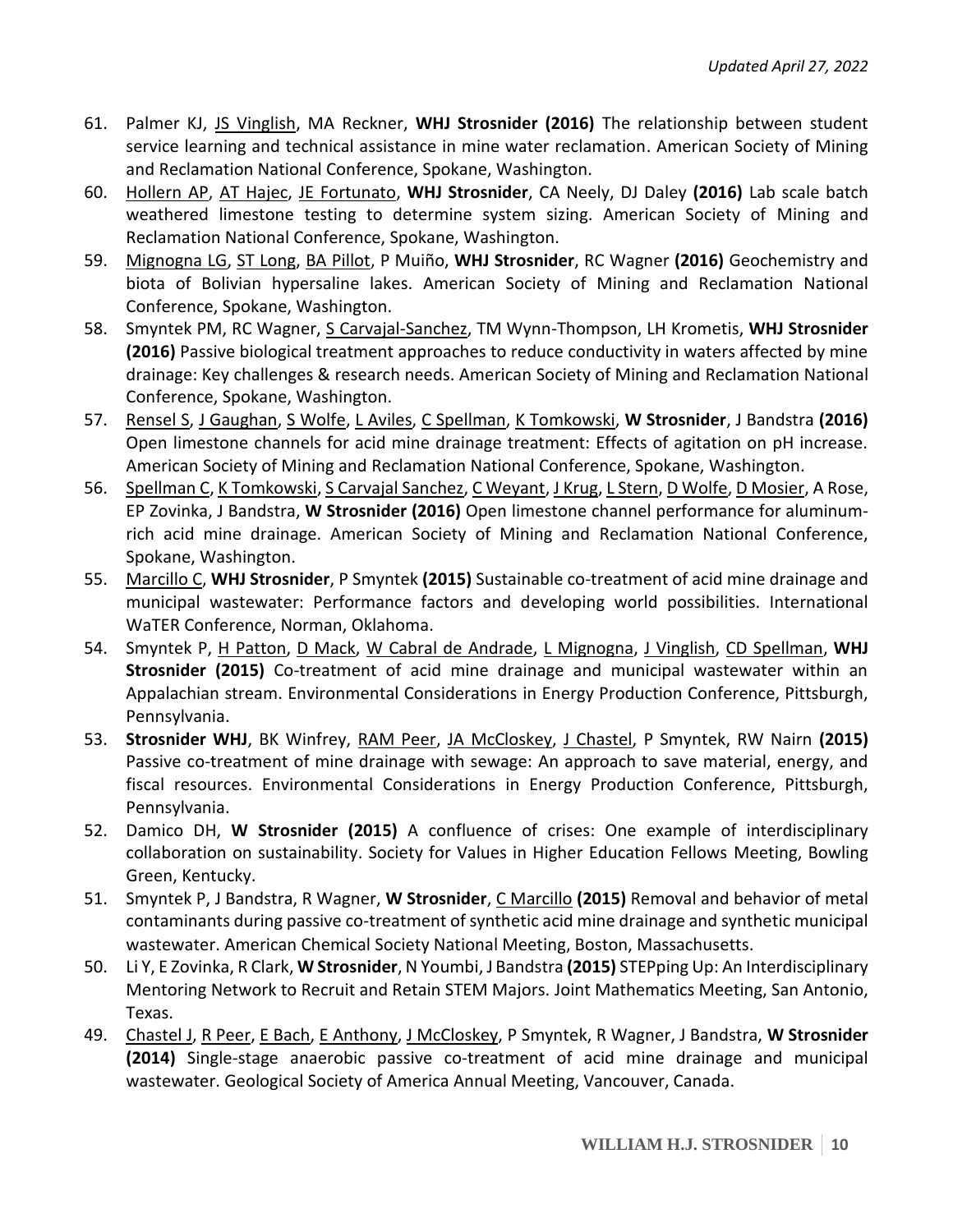- 61. Palmer KJ, JS Vinglish, MA Reckner, **WHJ Strosnider (2016)** The relationship between student service learning and technical assistance in mine water reclamation. American Society of Mining and Reclamation National Conference, Spokane, Washington.
- 60. Hollern AP, AT Hajec, JE Fortunato, **WHJ Strosnider**, CA Neely, DJ Daley **(2016)** Lab scale batch weathered limestone testing to determine system sizing. American Society of Mining and Reclamation National Conference, Spokane, Washington.
- 59. Mignogna LG, ST Long, BA Pillot, P Muiño, **WHJ Strosnider**, RC Wagner **(2016)** Geochemistry and biota of Bolivian hypersaline lakes. American Society of Mining and Reclamation National Conference, Spokane, Washington.
- 58. Smyntek PM, RC Wagner, S Carvajal-Sanchez, TM Wynn-Thompson, LH Krometis, **WHJ Strosnider (2016)** Passive biological treatment approaches to reduce conductivity in waters affected by mine drainage: Key challenges & research needs. American Society of Mining and Reclamation National Conference, Spokane, Washington.
- 57. Rensel S, J Gaughan, S Wolfe, L Aviles, C Spellman, K Tomkowski, **W Strosnider**, J Bandstra **(2016)** Open limestone channels for acid mine drainage treatment: Effects of agitation on pH increase. American Society of Mining and Reclamation National Conference, Spokane, Washington.
- 56. Spellman C, K Tomkowski, S Carvajal Sanchez, C Weyant, J Krug, L Stern, D Wolfe, D Mosier, A Rose, EP Zovinka, J Bandstra, **W Strosnider (2016)** Open limestone channel performance for aluminumrich acid mine drainage. American Society of Mining and Reclamation National Conference, Spokane, Washington.
- 55. Marcillo C, **WHJ Strosnider**, P Smyntek **(2015)** Sustainable co-treatment of acid mine drainage and municipal wastewater: Performance factors and developing world possibilities. International WaTER Conference, Norman, Oklahoma.
- 54. Smyntek P, H Patton, D Mack, W Cabral de Andrade, L Mignogna, J Vinglish, CD Spellman, **WHJ Strosnider (2015)** Co-treatment of acid mine drainage and municipal wastewater within an Appalachian stream. Environmental Considerations in Energy Production Conference, Pittsburgh, Pennsylvania.
- 53. **Strosnider WHJ**, BK Winfrey, RAM Peer, JA McCloskey, J Chastel, P Smyntek, RW Nairn **(2015)** Passive co-treatment of mine drainage with sewage: An approach to save material, energy, and fiscal resources. Environmental Considerations in Energy Production Conference, Pittsburgh, Pennsylvania.
- 52. Damico DH, **W Strosnider (2015)** A confluence of crises: One example of interdisciplinary collaboration on sustainability. Society for Values in Higher Education Fellows Meeting, Bowling Green, Kentucky.
- 51. Smyntek P, J Bandstra, R Wagner, **W Strosnider**, C Marcillo **(2015)** Removal and behavior of metal contaminants during passive co-treatment of synthetic acid mine drainage and synthetic municipal wastewater. American Chemical Society National Meeting, Boston, Massachusetts.
- 50. Li Y, E Zovinka, R Clark, **W Strosnider**, N Youmbi, J Bandstra **(2015)** STEPping Up: An Interdisciplinary Mentoring Network to Recruit and Retain STEM Majors. Joint Mathematics Meeting, San Antonio, Texas.
- 49. Chastel J, R Peer, E Bach, E Anthony, J McCloskey, P Smyntek, R Wagner, J Bandstra, **W Strosnider (2014)** Single-stage anaerobic passive co-treatment of acid mine drainage and municipal wastewater. Geological Society of America Annual Meeting, Vancouver, Canada.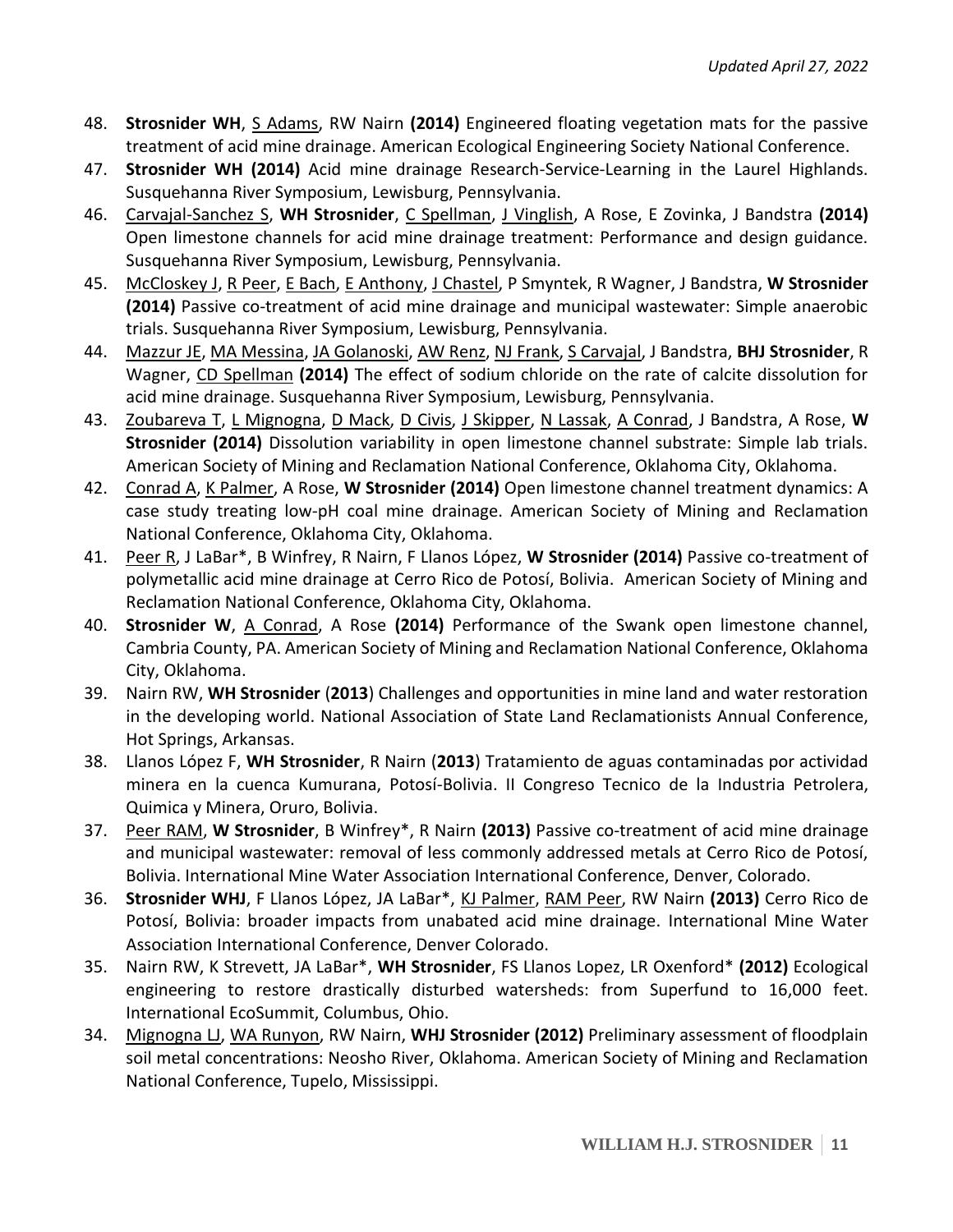- 48. **Strosnider WH**, S Adams, RW Nairn **(2014)** Engineered floating vegetation mats for the passive treatment of acid mine drainage. American Ecological Engineering Society National Conference.
- 47. **Strosnider WH (2014)** Acid mine drainage Research-Service-Learning in the Laurel Highlands. Susquehanna River Symposium, Lewisburg, Pennsylvania.
- 46. Carvajal-Sanchez S, **WH Strosnider**, C Spellman, J Vinglish, A Rose, E Zovinka, J Bandstra **(2014)** Open limestone channels for acid mine drainage treatment: Performance and design guidance. Susquehanna River Symposium, Lewisburg, Pennsylvania.
- 45. McCloskey J, R Peer, E Bach, E Anthony, J Chastel, P Smyntek, R Wagner, J Bandstra, **W Strosnider (2014)** Passive co-treatment of acid mine drainage and municipal wastewater: Simple anaerobic trials. Susquehanna River Symposium, Lewisburg, Pennsylvania.
- 44. Mazzur JE, MA Messina, JA Golanoski, AW Renz, NJ Frank, S Carvajal, J Bandstra, **BHJ Strosnider**, R Wagner, CD Spellman **(2014)** The effect of sodium chloride on the rate of calcite dissolution for acid mine drainage. Susquehanna River Symposium, Lewisburg, Pennsylvania.
- 43. Zoubareva T, L Mignogna, D Mack, D Civis, J Skipper, N Lassak, A Conrad, J Bandstra, A Rose, **W Strosnider (2014)** Dissolution variability in open limestone channel substrate: Simple lab trials. American Society of Mining and Reclamation National Conference, Oklahoma City, Oklahoma.
- 42. Conrad A, K Palmer, A Rose, **W Strosnider (2014)** Open limestone channel treatment dynamics: A case study treating low-pH coal mine drainage. American Society of Mining and Reclamation National Conference, Oklahoma City, Oklahoma.
- 41. Peer R, J LaBar\*, B Winfrey, R Nairn, F Llanos López, **W Strosnider (2014)** Passive co-treatment of polymetallic acid mine drainage at Cerro Rico de Potosí, Bolivia. American Society of Mining and Reclamation National Conference, Oklahoma City, Oklahoma.
- 40. **Strosnider W**, A Conrad, A Rose **(2014)** Performance of the Swank open limestone channel, Cambria County, PA. American Society of Mining and Reclamation National Conference, Oklahoma City, Oklahoma.
- 39. Nairn RW, **WH Strosnider** (**2013**) Challenges and opportunities in mine land and water restoration in the developing world. National Association of State Land Reclamationists Annual Conference, Hot Springs, Arkansas.
- 38. Llanos López F, **WH Strosnider**, R Nairn (**2013**) Tratamiento de aguas contaminadas por actividad minera en la cuenca Kumurana, Potosí-Bolivia. II Congreso Tecnico de la Industria Petrolera, Quimica y Minera, Oruro, Bolivia.
- 37. Peer RAM, **W Strosnider**, B Winfrey\*, R Nairn **(2013)** Passive co-treatment of acid mine drainage and municipal wastewater: removal of less commonly addressed metals at Cerro Rico de Potosí, Bolivia. International Mine Water Association International Conference, Denver, Colorado.
- 36. **Strosnider WHJ**, F Llanos López, JA LaBar\*, KJ Palmer, RAM Peer, RW Nairn **(2013)** Cerro Rico de Potosí, Bolivia: broader impacts from unabated acid mine drainage. International Mine Water Association International Conference, Denver Colorado.
- 35. Nairn RW, K Strevett, JA LaBar\*, **WH Strosnider**, FS Llanos Lopez, LR Oxenford\* **(2012)** Ecological engineering to restore drastically disturbed watersheds: from Superfund to 16,000 feet. International EcoSummit, Columbus, Ohio.
- 34. Mignogna LJ, WA Runyon, RW Nairn, **WHJ Strosnider (2012)** Preliminary assessment of floodplain soil metal concentrations: Neosho River, Oklahoma. American Society of Mining and Reclamation National Conference, Tupelo, Mississippi.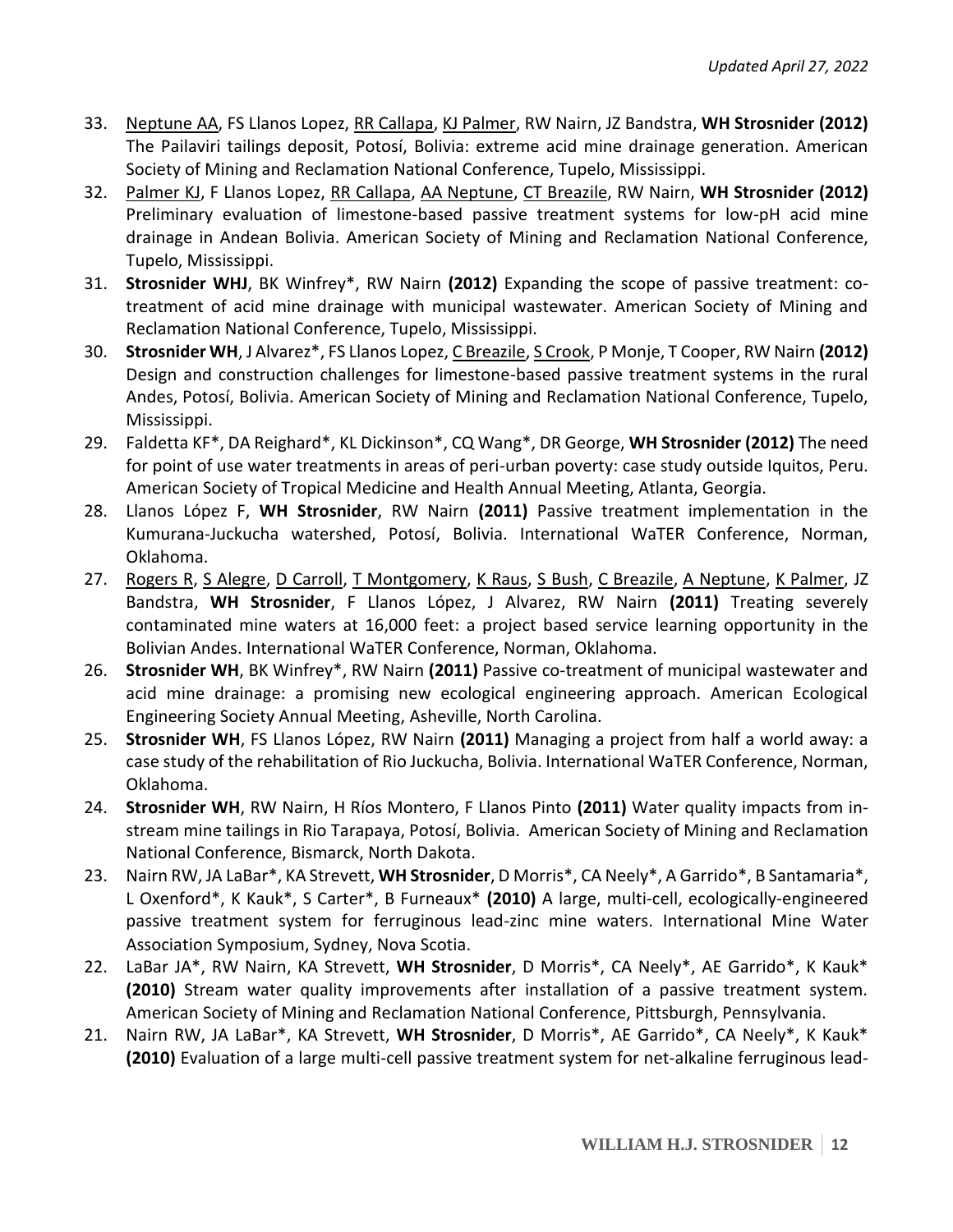- 33. Neptune AA, FS Llanos Lopez, RR Callapa, KJ Palmer, RW Nairn, JZ Bandstra, **WH Strosnider (2012)** The Pailaviri tailings deposit, Potosí, Bolivia: extreme acid mine drainage generation. American Society of Mining and Reclamation National Conference, Tupelo, Mississippi.
- 32. Palmer KJ, F Llanos Lopez, RR Callapa, AA Neptune, CT Breazile, RW Nairn, **WH Strosnider (2012)** Preliminary evaluation of limestone-based passive treatment systems for low-pH acid mine drainage in Andean Bolivia. American Society of Mining and Reclamation National Conference, Tupelo, Mississippi.
- 31. **Strosnider WHJ**, BK Winfrey\*, RW Nairn **(2012)** Expanding the scope of passive treatment: cotreatment of acid mine drainage with municipal wastewater. American Society of Mining and Reclamation National Conference, Tupelo, Mississippi.
- 30. **Strosnider WH**, J Alvarez\*, FS Llanos Lopez, C Breazile, S Crook, P Monje, T Cooper, RW Nairn **(2012)** Design and construction challenges for limestone-based passive treatment systems in the rural Andes, Potosí, Bolivia. American Society of Mining and Reclamation National Conference, Tupelo, Mississippi.
- 29. Faldetta KF\*, DA Reighard\*, KL Dickinson\*, CQ Wang\*, DR George, **WH Strosnider (2012)** The need for point of use water treatments in areas of peri-urban poverty: case study outside Iquitos, Peru. American Society of Tropical Medicine and Health Annual Meeting, Atlanta, Georgia.
- 28. Llanos López F, **WH Strosnider**, RW Nairn **(2011)** Passive treatment implementation in the Kumurana-Juckucha watershed, Potosí, Bolivia. International WaTER Conference, Norman, Oklahoma.
- 27. Rogers R, S Alegre, D Carroll, T Montgomery, K Raus, S Bush, C Breazile, A Neptune, K Palmer, JZ Bandstra, **WH Strosnider**, F Llanos López, J Alvarez, RW Nairn **(2011)** Treating severely contaminated mine waters at 16,000 feet: a project based service learning opportunity in the Bolivian Andes. International WaTER Conference, Norman, Oklahoma.
- 26. **Strosnider WH**, BK Winfrey\*, RW Nairn **(2011)** Passive co-treatment of municipal wastewater and acid mine drainage: a promising new ecological engineering approach. American Ecological Engineering Society Annual Meeting, Asheville, North Carolina.
- 25. **Strosnider WH**, FS Llanos López, RW Nairn **(2011)** Managing a project from half a world away: a case study of the rehabilitation of Rio Juckucha, Bolivia. International WaTER Conference, Norman, Oklahoma.
- 24. **Strosnider WH**, RW Nairn, H Ríos Montero, F Llanos Pinto **(2011)** Water quality impacts from instream mine tailings in Rio Tarapaya, Potosí, Bolivia. American Society of Mining and Reclamation National Conference, Bismarck, North Dakota.
- 23. Nairn RW, JA LaBar\*, KA Strevett, **WH Strosnider**, D Morris\*, CA Neely\*, A Garrido\*, B Santamaria\*, L Oxenford\*, K Kauk\*, S Carter\*, B Furneaux\* **(2010)** A large, multi-cell, ecologically-engineered passive treatment system for ferruginous lead-zinc mine waters. International Mine Water Association Symposium, Sydney, Nova Scotia.
- 22. LaBar JA\*, RW Nairn, KA Strevett, **WH Strosnider**, D Morris\*, CA Neely\*, AE Garrido\*, K Kauk\* **(2010)** Stream water quality improvements after installation of a passive treatment system. American Society of Mining and Reclamation National Conference, Pittsburgh, Pennsylvania.
- 21. Nairn RW, JA LaBar\*, KA Strevett, **WH Strosnider**, D Morris\*, AE Garrido\*, CA Neely\*, K Kauk\* **(2010)** Evaluation of a large multi-cell passive treatment system for net-alkaline ferruginous lead-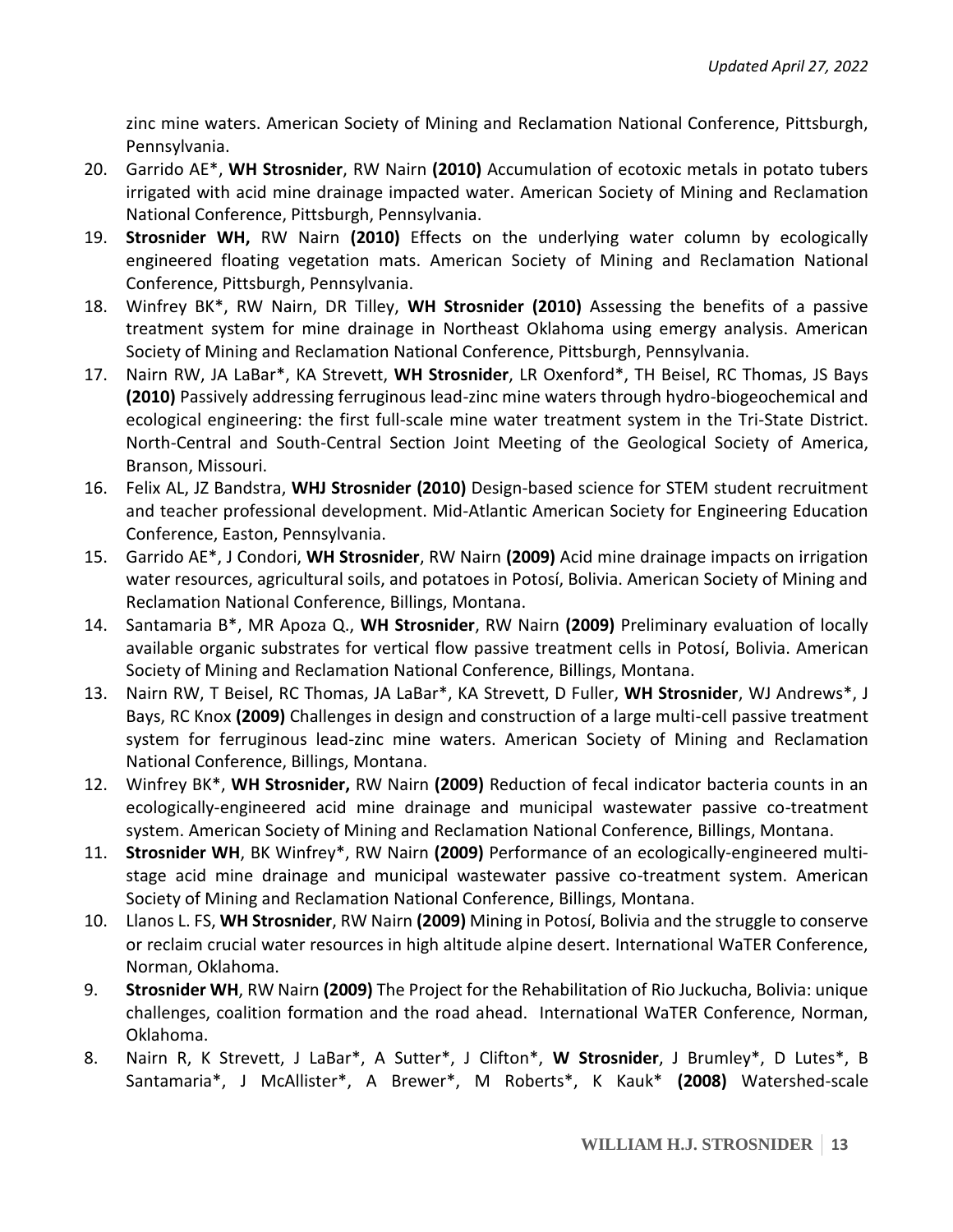zinc mine waters. American Society of Mining and Reclamation National Conference, Pittsburgh, Pennsylvania.

- 20. Garrido AE\*, **WH Strosnider**, RW Nairn **(2010)** Accumulation of ecotoxic metals in potato tubers irrigated with acid mine drainage impacted water. American Society of Mining and Reclamation National Conference, Pittsburgh, Pennsylvania.
- 19. **Strosnider WH,** RW Nairn **(2010)** Effects on the underlying water column by ecologically engineered floating vegetation mats. American Society of Mining and Reclamation National Conference, Pittsburgh, Pennsylvania.
- 18. Winfrey BK\*, RW Nairn, DR Tilley, **WH Strosnider (2010)** Assessing the benefits of a passive treatment system for mine drainage in Northeast Oklahoma using emergy analysis. American Society of Mining and Reclamation National Conference, Pittsburgh, Pennsylvania.
- 17. Nairn RW, JA LaBar\*, KA Strevett, **WH Strosnider**, LR Oxenford\*, TH Beisel, RC Thomas, JS Bays **(2010)** Passively addressing ferruginous lead-zinc mine waters through hydro-biogeochemical and ecological engineering: the first full-scale mine water treatment system in the Tri-State District. North-Central and South-Central Section Joint Meeting of the Geological Society of America, Branson, Missouri.
- 16. Felix AL, JZ Bandstra, **WHJ Strosnider (2010)** Design-based science for STEM student recruitment and teacher professional development. Mid-Atlantic American Society for Engineering Education Conference, Easton, Pennsylvania.
- 15. Garrido AE\*, J Condori, **WH Strosnider**, RW Nairn **(2009)** Acid mine drainage impacts on irrigation water resources, agricultural soils, and potatoes in Potosí, Bolivia. American Society of Mining and Reclamation National Conference, Billings, Montana.
- 14. Santamaria B\*, MR Apoza Q., **WH Strosnider**, RW Nairn **(2009)** Preliminary evaluation of locally available organic substrates for vertical flow passive treatment cells in Potosí, Bolivia. American Society of Mining and Reclamation National Conference, Billings, Montana.
- 13. Nairn RW, T Beisel, RC Thomas, JA LaBar\*, KA Strevett, D Fuller, **WH Strosnider**, WJ Andrews\*, J Bays, RC Knox **(2009)** Challenges in design and construction of a large multi-cell passive treatment system for ferruginous lead-zinc mine waters. American Society of Mining and Reclamation National Conference, Billings, Montana.
- 12. Winfrey BK\*, **WH Strosnider,** RW Nairn **(2009)** Reduction of fecal indicator bacteria counts in an ecologically-engineered acid mine drainage and municipal wastewater passive co-treatment system. American Society of Mining and Reclamation National Conference, Billings, Montana.
- 11. **Strosnider WH**, BK Winfrey\*, RW Nairn **(2009)** Performance of an ecologically-engineered multistage acid mine drainage and municipal wastewater passive co-treatment system. American Society of Mining and Reclamation National Conference, Billings, Montana.
- 10. Llanos L. FS, **WH Strosnider**, RW Nairn **(2009)** Mining in Potosí, Bolivia and the struggle to conserve or reclaim crucial water resources in high altitude alpine desert. International WaTER Conference, Norman, Oklahoma.
- 9. **Strosnider WH**, RW Nairn **(2009)** The Project for the Rehabilitation of Rio Juckucha, Bolivia: unique challenges, coalition formation and the road ahead. International WaTER Conference, Norman, Oklahoma.
- 8. Nairn R, K Strevett, J LaBar\*, A Sutter\*, J Clifton\*, **W Strosnider**, J Brumley\*, D Lutes\*, B Santamaria\*, J McAllister\*, A Brewer\*, M Roberts\*, K Kauk\* **(2008)** Watershed-scale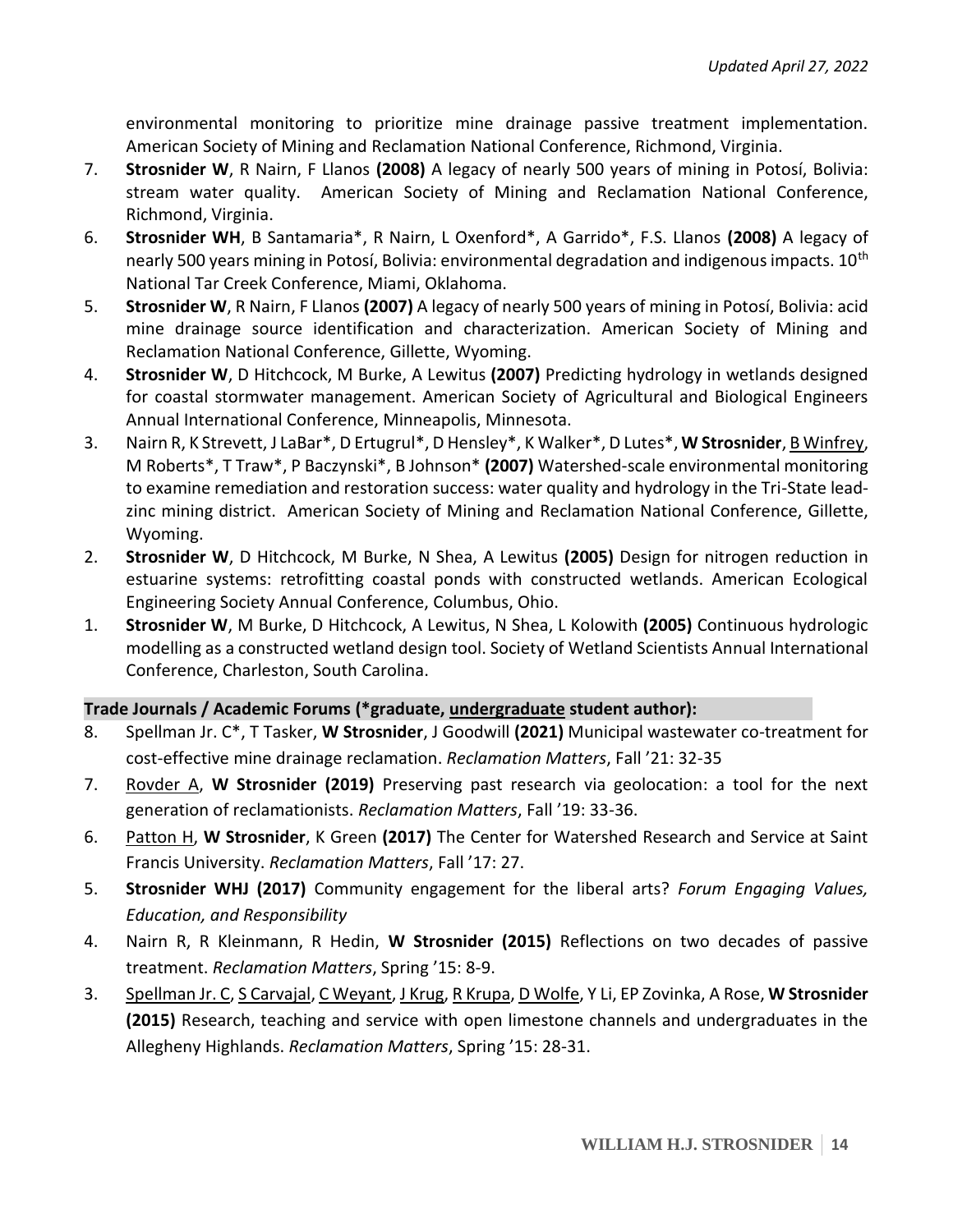environmental monitoring to prioritize mine drainage passive treatment implementation. American Society of Mining and Reclamation National Conference, Richmond, Virginia.

- 7. **Strosnider W**, R Nairn, F Llanos **(2008)** A legacy of nearly 500 years of mining in Potosí, Bolivia: stream water quality. American Society of Mining and Reclamation National Conference, Richmond, Virginia.
- 6. **Strosnider WH**, B Santamaria\*, R Nairn, L Oxenford\*, A Garrido\*, F.S. Llanos **(2008)** A legacy of nearly 500 years mining in Potosí, Bolivia: environmental degradation and indigenous impacts. 10<sup>th</sup> National Tar Creek Conference, Miami, Oklahoma.
- 5. **Strosnider W**, R Nairn, F Llanos **(2007)** A legacy of nearly 500 years of mining in Potosí, Bolivia: acid mine drainage source identification and characterization. American Society of Mining and Reclamation National Conference, Gillette, Wyoming.
- 4. **Strosnider W**, D Hitchcock, M Burke, A Lewitus **(2007)** Predicting hydrology in wetlands designed for coastal stormwater management. American Society of Agricultural and Biological Engineers Annual International Conference, Minneapolis, Minnesota.
- 3. Nairn R, K Strevett, J LaBar\*, D Ertugrul\*, D Hensley\*, K Walker\*, D Lutes\*, **W Strosnider**, B Winfrey, M Roberts\*, T Traw\*, P Baczynski\*, B Johnson\* **(2007)** Watershed-scale environmental monitoring to examine remediation and restoration success: water quality and hydrology in the Tri-State leadzinc mining district. American Society of Mining and Reclamation National Conference, Gillette, Wyoming.
- 2. **Strosnider W**, D Hitchcock, M Burke, N Shea, A Lewitus **(2005)** Design for nitrogen reduction in estuarine systems: retrofitting coastal ponds with constructed wetlands. American Ecological Engineering Society Annual Conference, Columbus, Ohio.
- 1. **Strosnider W**, M Burke, D Hitchcock, A Lewitus, N Shea, L Kolowith **(2005)** Continuous hydrologic modelling as a constructed wetland design tool. Society of Wetland Scientists Annual International Conference, Charleston, South Carolina.

# **Trade Journals / Academic Forums (\*graduate, undergraduate student author):**

- 8. Spellman Jr. C\*, T Tasker, **W Strosnider**, J Goodwill **(2021)** Municipal wastewater co-treatment for cost-effective mine drainage reclamation. *Reclamation Matters*, Fall '21: 32-35
- 7. Rovder A, **W Strosnider (2019)** Preserving past research via geolocation: a tool for the next generation of reclamationists. *Reclamation Matters*, Fall '19: 33-36.
- 6. Patton H, **W Strosnider**, K Green **(2017)** The Center for Watershed Research and Service at Saint Francis University. *Reclamation Matters*, Fall '17: 27.
- 5. **Strosnider WHJ (2017)** Community engagement for the liberal arts? *Forum Engaging Values, Education, and Responsibility*
- 4. Nairn R, R Kleinmann, R Hedin, **W Strosnider (2015)** Reflections on two decades of passive treatment. *Reclamation Matters*, Spring '15: 8-9.
- 3. Spellman Jr. C, S Carvajal, C Weyant, J Krug, R Krupa, D Wolfe, Y Li, EP Zovinka, A Rose, **W Strosnider (2015)** Research, teaching and service with open limestone channels and undergraduates in the Allegheny Highlands. *Reclamation Matters*, Spring '15: 28-31.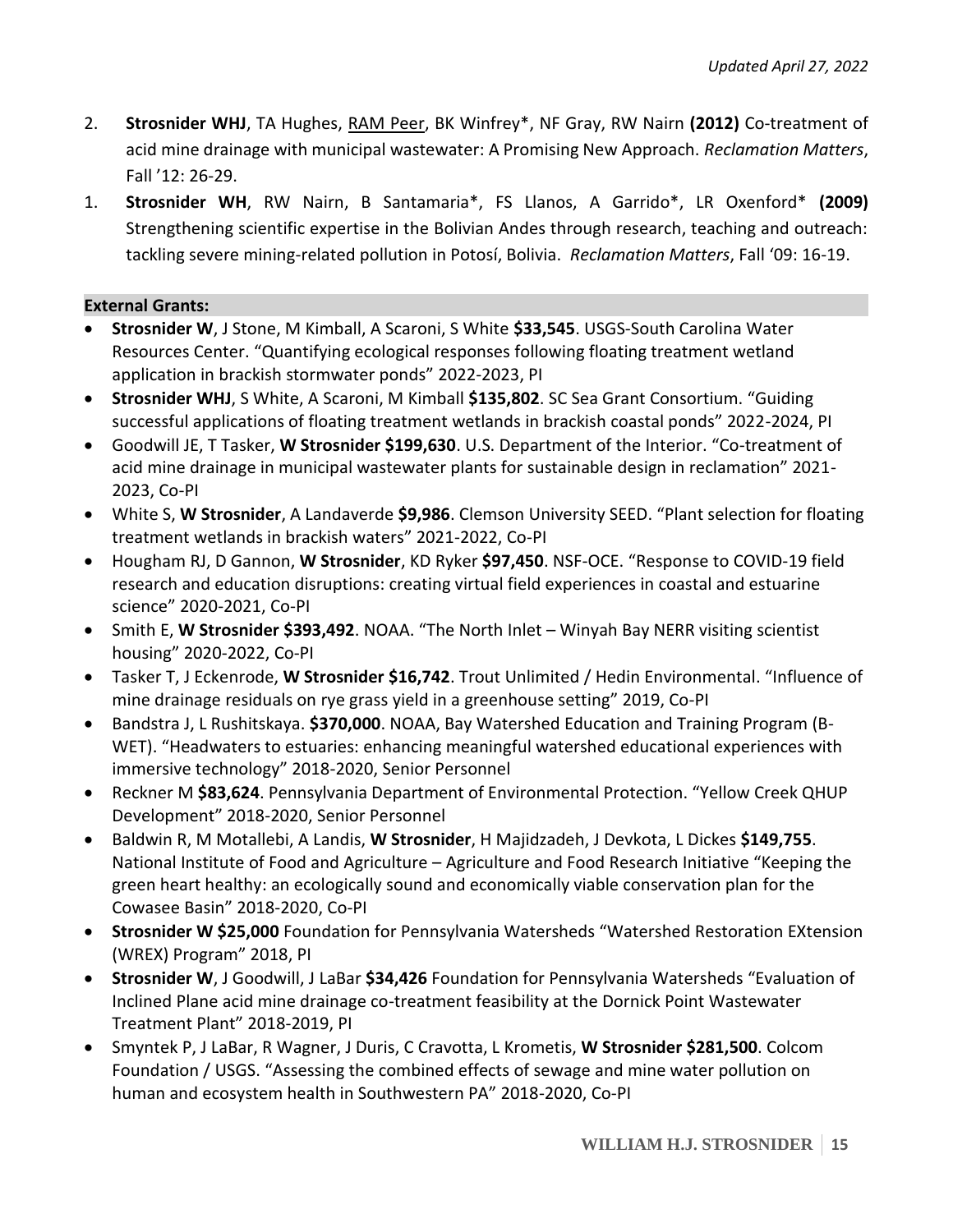- 2. **Strosnider WHJ**, TA Hughes, RAM Peer, BK Winfrey\*, NF Gray, RW Nairn **(2012)** Co-treatment of acid mine drainage with municipal wastewater: A Promising New Approach. *Reclamation Matters*, Fall '12: 26-29.
- 1. **Strosnider WH**, RW Nairn, B Santamaria\*, FS Llanos, A Garrido\*, LR Oxenford\* **(2009)** Strengthening scientific expertise in the Bolivian Andes through research, teaching and outreach: tackling severe mining-related pollution in Potosí, Bolivia. *Reclamation Matters*, Fall '09: 16-19.

### **External Grants:**

- **Strosnider W**, J Stone, M Kimball, A Scaroni, S White **\$33,545**. USGS-South Carolina Water Resources Center. "Quantifying ecological responses following floating treatment wetland application in brackish stormwater ponds" 2022-2023, PI
- **Strosnider WHJ**, S White, A Scaroni, M Kimball **\$135,802**. SC Sea Grant Consortium. "Guiding successful applications of floating treatment wetlands in brackish coastal ponds" 2022-2024, PI
- Goodwill JE, T Tasker, **W Strosnider \$199,630**. U.S. Department of the Interior. "Co-treatment of acid mine drainage in municipal wastewater plants for sustainable design in reclamation" 2021- 2023, Co-PI
- White S, **W Strosnider**, A Landaverde **\$9,986**. Clemson University SEED. "Plant selection for floating treatment wetlands in brackish waters" 2021-2022, Co-PI
- Hougham RJ, D Gannon, **W Strosnider**, KD Ryker **\$97,450**. NSF-OCE. "Response to COVID-19 field research and education disruptions: creating virtual field experiences in coastal and estuarine science" 2020-2021, Co-PI
- Smith E, **W Strosnider \$393,492**. NOAA. "The North Inlet Winyah Bay NERR visiting scientist housing" 2020-2022, Co-PI
- Tasker T, J Eckenrode, **W Strosnider \$16,742**. Trout Unlimited / Hedin Environmental. "Influence of mine drainage residuals on rye grass yield in a greenhouse setting" 2019, Co-PI
- Bandstra J, L Rushitskaya. **\$370,000**. NOAA, Bay Watershed Education and Training Program (B-WET). "Headwaters to estuaries: enhancing meaningful watershed educational experiences with immersive technology" 2018-2020, Senior Personnel
- Reckner M **\$83,624**. Pennsylvania Department of Environmental Protection. "Yellow Creek QHUP Development" 2018-2020, Senior Personnel
- Baldwin R, M Motallebi, A Landis, **W Strosnider**, H Majidzadeh, J Devkota, L Dickes **\$149,755**. National Institute of Food and Agriculture – Agriculture and Food Research Initiative "Keeping the green heart healthy: an ecologically sound and economically viable conservation plan for the Cowasee Basin" 2018-2020, Co-PI
- **Strosnider W \$25,000** Foundation for Pennsylvania Watersheds "Watershed Restoration EXtension (WREX) Program" 2018, PI
- **Strosnider W**, J Goodwill, J LaBar **\$34,426** Foundation for Pennsylvania Watersheds "Evaluation of Inclined Plane acid mine drainage co-treatment feasibility at the Dornick Point Wastewater Treatment Plant" 2018-2019, PI
- Smyntek P, J LaBar, R Wagner, J Duris, C Cravotta, L Krometis, **W Strosnider \$281,500**. Colcom Foundation / USGS. "Assessing the combined effects of sewage and mine water pollution on human and ecosystem health in Southwestern PA" 2018-2020, Co-PI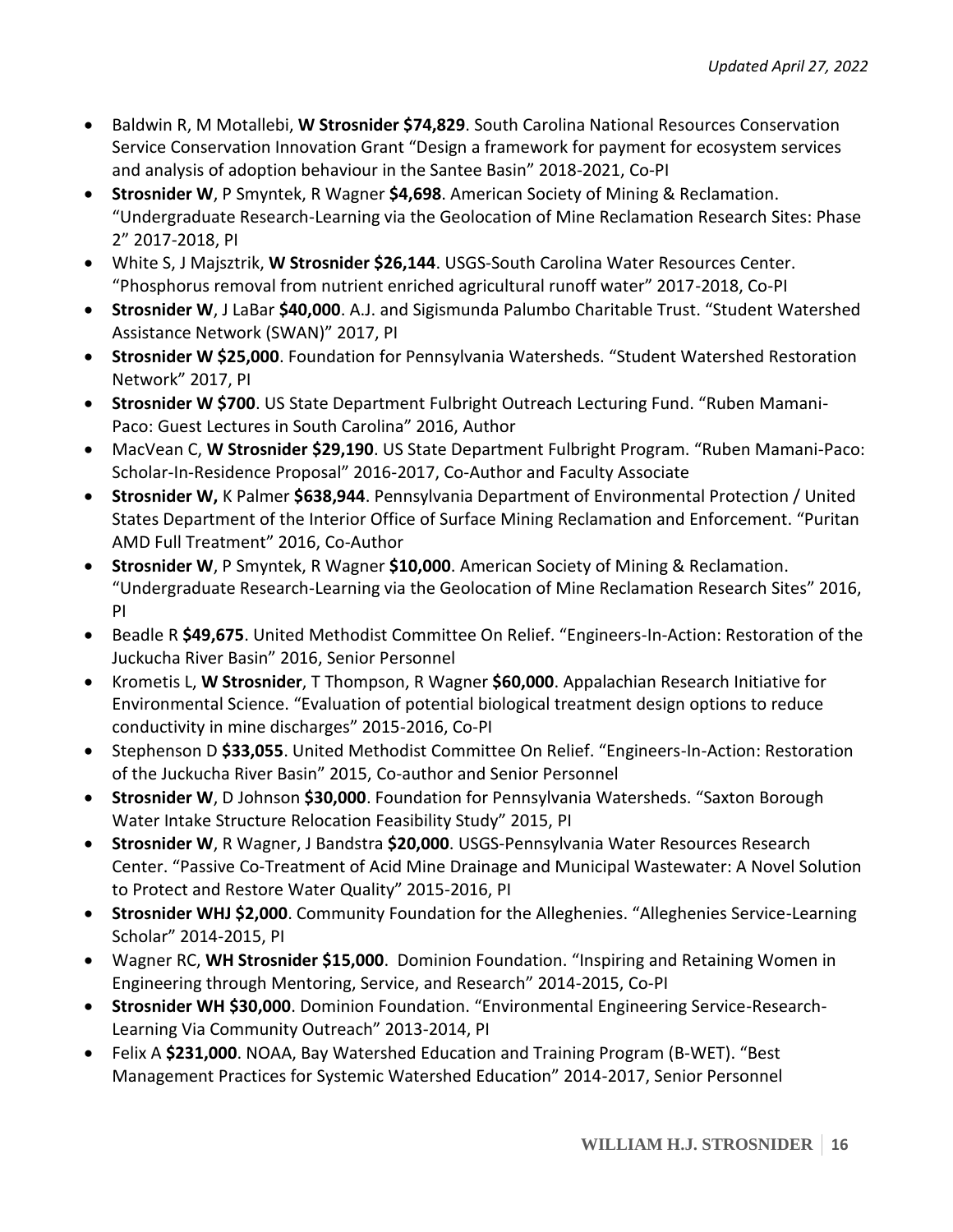- Baldwin R, M Motallebi, **W Strosnider \$74,829**. South Carolina National Resources Conservation Service Conservation Innovation Grant "Design a framework for payment for ecosystem services and analysis of adoption behaviour in the Santee Basin" 2018-2021, Co-PI
- **Strosnider W**, P Smyntek, R Wagner **\$4,698**. American Society of Mining & Reclamation. "Undergraduate Research-Learning via the Geolocation of Mine Reclamation Research Sites: Phase 2" 2017-2018, PI
- White S, J Majsztrik, **W Strosnider \$26,144**. USGS-South Carolina Water Resources Center. "Phosphorus removal from nutrient enriched agricultural runoff water" 2017-2018, Co-PI
- **Strosnider W**, J LaBar **\$40,000**. A.J. and Sigismunda Palumbo Charitable Trust. "Student Watershed Assistance Network (SWAN)" 2017, PI
- **Strosnider W \$25,000**. Foundation for Pennsylvania Watersheds. "Student Watershed Restoration Network" 2017, PI
- **Strosnider W \$700**. US State Department Fulbright Outreach Lecturing Fund. "Ruben Mamani-Paco: Guest Lectures in South Carolina" 2016, Author
- MacVean C, **W Strosnider \$29,190**. US State Department Fulbright Program. "Ruben Mamani-Paco: Scholar-In-Residence Proposal" 2016-2017, Co-Author and Faculty Associate
- **Strosnider W,** K Palmer **\$638,944**. Pennsylvania Department of Environmental Protection / United States Department of the Interior Office of Surface Mining Reclamation and Enforcement. "Puritan AMD Full Treatment" 2016, Co-Author
- **Strosnider W**, P Smyntek, R Wagner **\$10,000**. American Society of Mining & Reclamation. "Undergraduate Research-Learning via the Geolocation of Mine Reclamation Research Sites" 2016, PI
- Beadle R **\$49,675**. United Methodist Committee On Relief. "Engineers-In-Action: Restoration of the Juckucha River Basin" 2016, Senior Personnel
- Krometis L, **W Strosnider**, T Thompson, R Wagner **\$60,000**. Appalachian Research Initiative for Environmental Science. "Evaluation of potential biological treatment design options to reduce conductivity in mine discharges" 2015-2016, Co-PI
- Stephenson D **\$33,055**. United Methodist Committee On Relief. "Engineers-In-Action: Restoration of the Juckucha River Basin" 2015, Co-author and Senior Personnel
- **Strosnider W**, D Johnson **\$30,000**. Foundation for Pennsylvania Watersheds. "Saxton Borough Water Intake Structure Relocation Feasibility Study" 2015, PI
- **Strosnider W**, R Wagner, J Bandstra **\$20,000**. USGS-Pennsylvania Water Resources Research Center. "Passive Co-Treatment of Acid Mine Drainage and Municipal Wastewater: A Novel Solution to Protect and Restore Water Quality" 2015-2016, PI
- **Strosnider WHJ \$2,000**. Community Foundation for the Alleghenies. "Alleghenies Service-Learning Scholar" 2014-2015, PI
- Wagner RC, **WH Strosnider \$15,000**. Dominion Foundation. "Inspiring and Retaining Women in Engineering through Mentoring, Service, and Research" 2014-2015, Co-PI
- **Strosnider WH \$30,000**. Dominion Foundation. "Environmental Engineering Service-Research-Learning Via Community Outreach" 2013-2014, PI
- Felix A **\$231,000**. NOAA, Bay Watershed Education and Training Program (B-WET). "Best Management Practices for Systemic Watershed Education" 2014-2017, Senior Personnel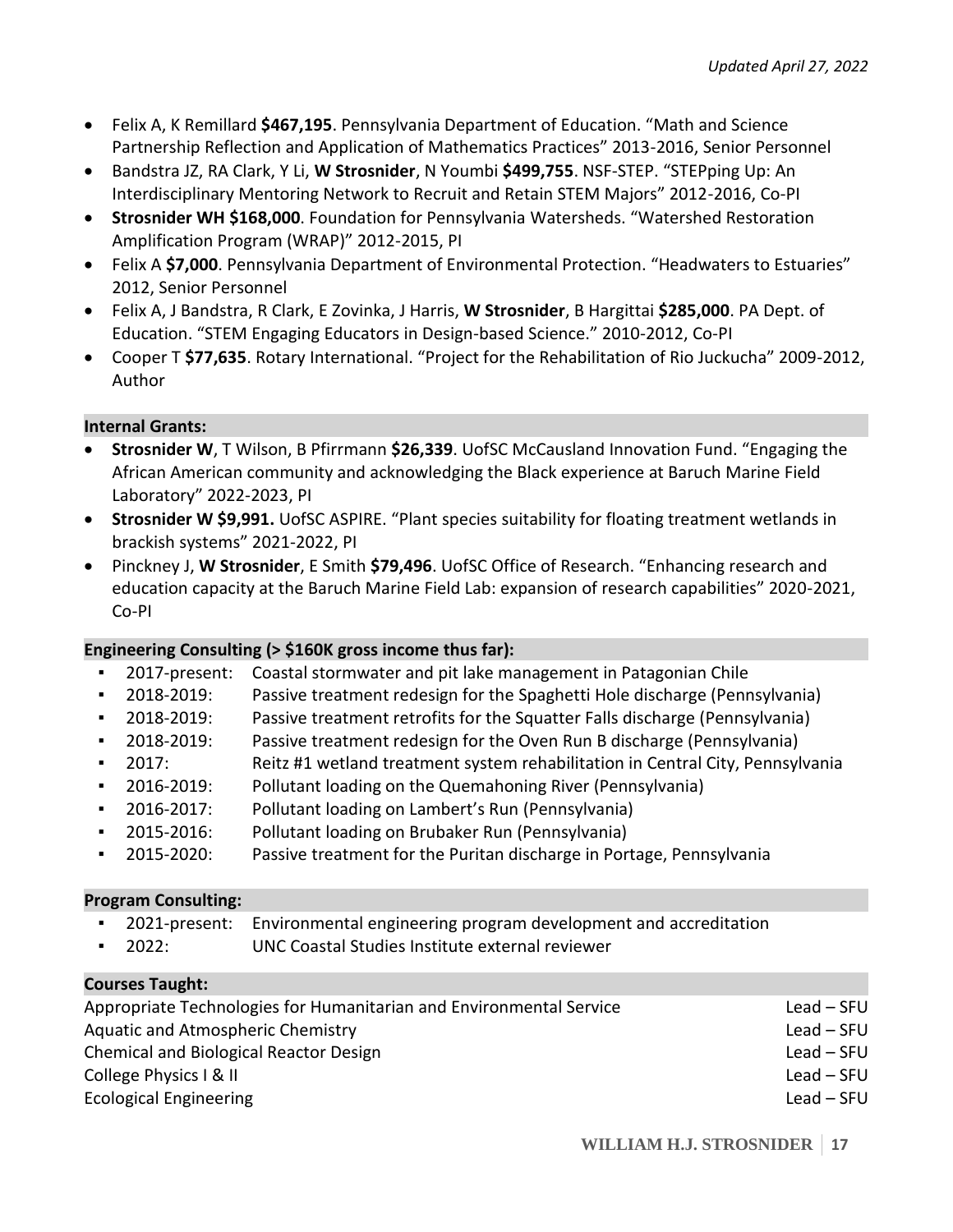- Felix A, K Remillard **\$467,195**. Pennsylvania Department of Education. "Math and Science Partnership Reflection and Application of Mathematics Practices" 2013-2016, Senior Personnel
- Bandstra JZ, RA Clark, Y Li, **W Strosnider**, N Youmbi **\$499,755**. NSF-STEP. "STEPping Up: An Interdisciplinary Mentoring Network to Recruit and Retain STEM Majors" 2012-2016, Co-PI
- **Strosnider WH \$168,000**. Foundation for Pennsylvania Watersheds. "Watershed Restoration Amplification Program (WRAP)" 2012-2015, PI
- Felix A **\$7,000**. Pennsylvania Department of Environmental Protection. "Headwaters to Estuaries" 2012, Senior Personnel
- Felix A, J Bandstra, R Clark, E Zovinka, J Harris, **W Strosnider**, B Hargittai **\$285,000**. PA Dept. of Education. "STEM Engaging Educators in Design-based Science." 2010-2012, Co-PI
- Cooper T **\$77,635**. Rotary International. "Project for the Rehabilitation of Rio Juckucha" 2009-2012, Author

# **Internal Grants:**

- **Strosnider W**, T Wilson, B Pfirrmann **\$26,339**. UofSC McCausland Innovation Fund. "Engaging the African American community and acknowledging the Black experience at Baruch Marine Field Laboratory" 2022-2023, PI
- **Strosnider W \$9,991.** UofSC ASPIRE. "Plant species suitability for floating treatment wetlands in brackish systems" 2021-2022, PI
- Pinckney J, **W Strosnider**, E Smith **\$79,496**. UofSC Office of Research. "Enhancing research and education capacity at the Baruch Marine Field Lab: expansion of research capabilities" 2020-2021, Co-PI

# **Engineering Consulting (> \$160K gross income thus far):**

- 2017-present: Coastal stormwater and pit lake management in Patagonian Chile
- 2018-2019: Passive treatment redesign for the Spaghetti Hole discharge (Pennsylvania)
- 2018-2019: Passive treatment retrofits for the Squatter Falls discharge (Pennsylvania)
- 2018-2019: Passive treatment redesign for the Oven Run B discharge (Pennsylvania)
- 2017: Reitz #1 wetland treatment system rehabilitation in Central City, Pennsylvania
- 2016-2019: Pollutant loading on the Quemahoning River (Pennsylvania)
- 2016-2017: Pollutant loading on Lambert's Run (Pennsylvania)
- 2015-2016: Pollutant loading on Brubaker Run (Pennsylvania)
- 2015-2020: Passive treatment for the Puritan discharge in Portage, Pennsylvania

# **Program Consulting:**

- 2021-present: Environmental engineering program development and accreditation
- 2022: UNC Coastal Studies Institute external reviewer

# **Courses Taught:** Appropriate Technologies for Humanitarian and Environmental Service Lead – SFU Aquatic and Atmospheric Chemistry Lead – SFU Chemical and Biological Reactor Design Lead – SFU Lead – SFU College Physics I & II Lead – SFU Ecological Engineering Lead – SFU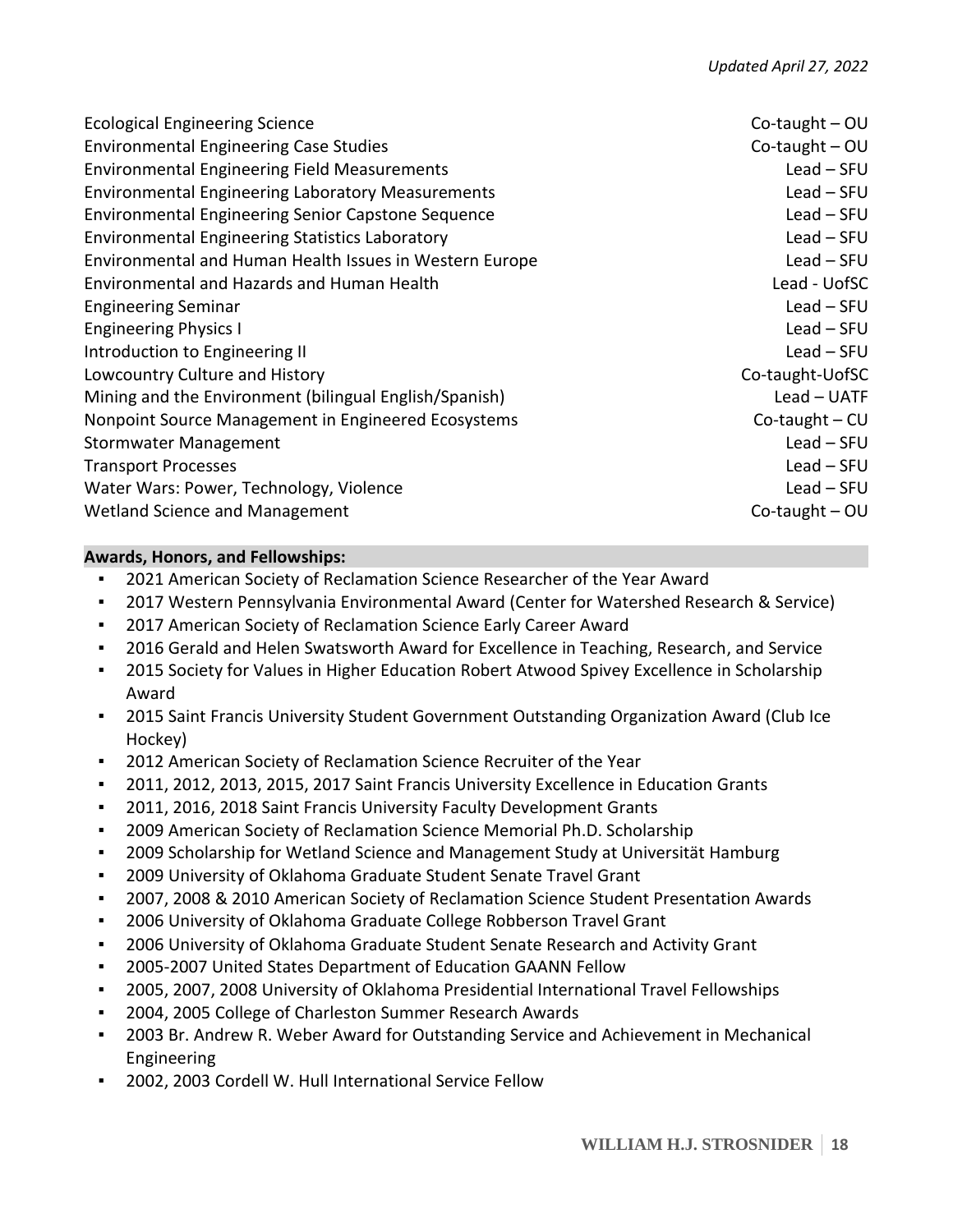| Co-taught $-$ OU    |
|---------------------|
| Co-taught $-$ OU    |
| $Lead - SFU$        |
| $Lead - SFU$        |
| $Lead - SFU$        |
| $Lead - SFU$        |
| $Lead - SFU$        |
| Lead - UofSC        |
| $Lead - SFU$        |
| $Lead - SFU$        |
| $Lead - SFU$        |
| Co-taught-UofSC     |
| $Lead - UATF$       |
| $Co$ -taught – $CU$ |
| $Lead - SFU$        |
| $Lead - SFU$        |
| $Lead - SFU$        |
| Co-taught $-$ OU    |
|                     |

### **Awards, Honors, and Fellowships:**

- 2021 American Society of Reclamation Science Researcher of the Year Award
- 2017 Western Pennsylvania Environmental Award (Center for Watershed Research & Service)
- 2017 American Society of Reclamation Science Early Career Award
- 2016 Gerald and Helen Swatsworth Award for Excellence in Teaching, Research, and Service
- **•** 2015 Society for Values in Higher Education Robert Atwood Spivey Excellence in Scholarship Award
- 2015 Saint Francis University Student Government Outstanding Organization Award (Club Ice Hockey)
- 2012 American Society of Reclamation Science Recruiter of the Year
- 2011, 2012, 2013, 2015, 2017 Saint Francis University Excellence in Education Grants
- 2011, 2016, 2018 Saint Francis University Faculty Development Grants
- 2009 American Society of Reclamation Science Memorial Ph.D. Scholarship
- 2009 Scholarship for Wetland Science and Management Study at Universität Hamburg
- 2009 University of Oklahoma Graduate Student Senate Travel Grant
- 2007, 2008 & 2010 American Society of Reclamation Science Student Presentation Awards
- 2006 University of Oklahoma Graduate College Robberson Travel Grant
- 2006 University of Oklahoma Graduate Student Senate Research and Activity Grant
- 2005-2007 United States Department of Education GAANN Fellow
- 2005, 2007, 2008 University of Oklahoma Presidential International Travel Fellowships
- 2004, 2005 College of Charleston Summer Research Awards
- 2003 Br. Andrew R. Weber Award for Outstanding Service and Achievement in Mechanical Engineering
- 2002, 2003 Cordell W. Hull International Service Fellow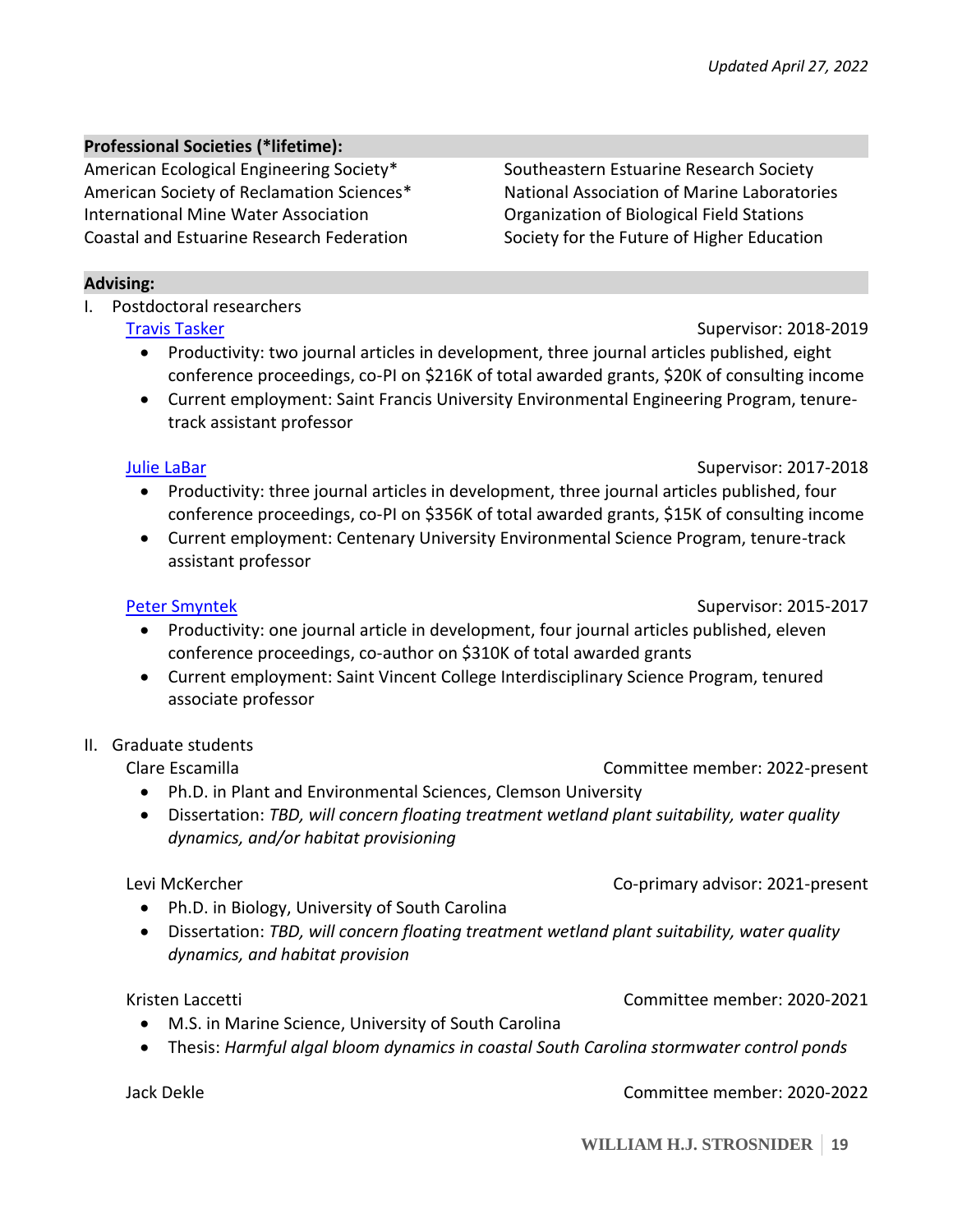Southeastern Estuarine Research Society National Association of Marine Laboratories Organization of Biological Field Stations Society for the Future of Higher Education

### **Professional Societies (\*lifetime):**

American Ecological Engineering Society\* American Society of Reclamation Sciences\* International Mine Water Association Coastal and Estuarine Research Federation

**Advising:**

I. Postdoctoral researchers

# [Travis Tasker](https://scholar.google.com/citations?user=azBXJvQAAAAJ&hl=en) Supervisor: 2018-2019

- Productivity: two journal articles in development, three journal articles published, eight conference proceedings, co-PI on \$216K of total awarded grants, \$20K of consulting income
- Current employment: Saint Francis University Environmental Engineering Program, tenuretrack assistant professor

# [Julie LaBar](https://scholar.google.com/citations?user=Avd8-1cAAAAJ&hl=en) Supervisor: 2017-2018

- Productivity: three journal articles in development, three journal articles published, four conference proceedings, co-PI on \$356K of total awarded grants, \$15K of consulting income
- Current employment: Centenary University Environmental Science Program, tenure-track assistant professor

#### [Peter Smyntek](https://scholar.google.com/citations?hl=en&user=BNP97pkAAAAJ) Supervisor: 2015-2017

- Productivity: one journal article in development, four journal articles published, eleven conference proceedings, co-author on \$310K of total awarded grants
- Current employment: Saint Vincent College Interdisciplinary Science Program, tenured associate professor

# II. Graduate students

Clare Escamilla Committee member: 2022-present

- Ph.D. in Plant and Environmental Sciences, Clemson University
- Dissertation: *TBD, will concern floating treatment wetland plant suitability, water quality dynamics, and/or habitat provisioning*

# Levi McKercher Co-primary advisor: 2021-present

- Ph.D. in Biology, University of South Carolina
- Dissertation: *TBD, will concern floating treatment wetland plant suitability, water quality dynamics, and habitat provision*

# Kristen Laccetti Committee member: 2020-2021

- M.S. in Marine Science, University of South Carolina
- Thesis: *Harmful algal bloom dynamics in coastal South Carolina stormwater control ponds*

Jack Dekle Committee member: 2020-2022

**WILLIAM H.J. STROSNIDER 19**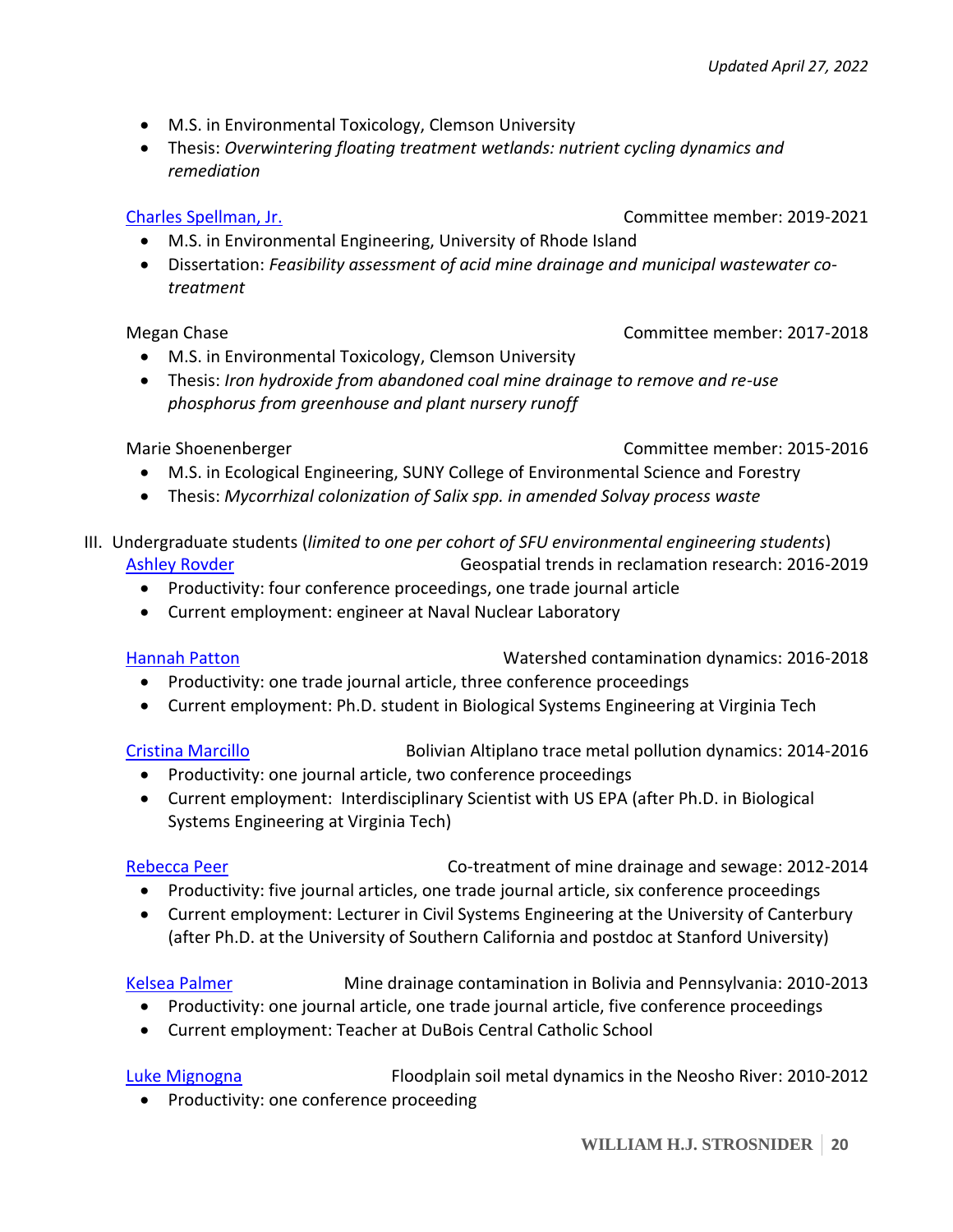- M.S. in Environmental Toxicology, Clemson University
- Thesis: *Overwintering floating treatment wetlands: nutrient cycling dynamics and remediation*

- M.S. in Environmental Engineering, University of Rhode Island
- Dissertation: *Feasibility assessment of acid mine drainage and municipal wastewater cotreatment*

### Megan Chase Committee member: 2017-2018

- M.S. in Environmental Toxicology, Clemson University
- Thesis: *Iron hydroxide from abandoned coal mine drainage to remove and re-use phosphorus from greenhouse and plant nursery runoff*

- Marie Shoenenberger Committee member: 2015-2016
	- M.S. in Ecological Engineering, SUNY College of Environmental Science and Forestry
	- Thesis: *Mycorrhizal colonization of Salix spp. in amended Solvay process waste*
- III. Undergraduate students (*limited to one per cohort of SFU environmental engineering students*) [Ashley Rovder](https://www.linkedin.com/in/ashley-rovder/) **Geospatial trends in reclamation research: 2016-2019** 
	- Productivity: four conference proceedings, one trade journal article
	- Current employment: engineer at Naval Nuclear Laboratory

[Hannah Patton](https://www.linkedin.com/in/hannah-patton-200b44128/) Watershed contamination dynamics: 2016-2018

- Productivity: one trade journal article, three conference proceedings
- Current employment: Ph.D. student in Biological Systems Engineering at Virginia Tech

[Cristina Marcillo](https://www.linkedin.com/in/cmarcillo101/) Bolivian Altiplano trace metal pollution dynamics: 2014-2016

- Productivity: one journal article, two conference proceedings
- Current employment: Interdisciplinary Scientist with US EPA (after Ph.D. in Biological Systems Engineering at Virginia Tech)

[Rebecca Peer](https://www.researchgate.net/profile/Rebecca-Peer-2) **Co-treatment of mine drainage and sewage: 2012-2014** 

- Productivity: five journal articles, one trade journal article, six conference proceedings
- Current employment: Lecturer in Civil Systems Engineering at the University of Canterbury (after Ph.D. at the University of Southern California and postdoc at Stanford University)

[Kelsea Palmer](https://www.linkedin.com/in/kelsea-green-84104756/) Mine drainage contamination in Bolivia and Pennsylvania: 2010-2013

- Productivity: one journal article, one trade journal article, five conference proceedings
- Current employment: Teacher at DuBois Central Catholic School

Luke [Mignogna](https://www.linkedin.com/in/lukemignogna/) Floodplain soil metal dynamics in the Neosho River: 2010-2012

• Productivity: one conference proceeding

# [Charles Spellman, Jr.](https://scholar.google.com/citations?user=anp-1tQAAAAJ&hl=en) Committee member: 2019-2021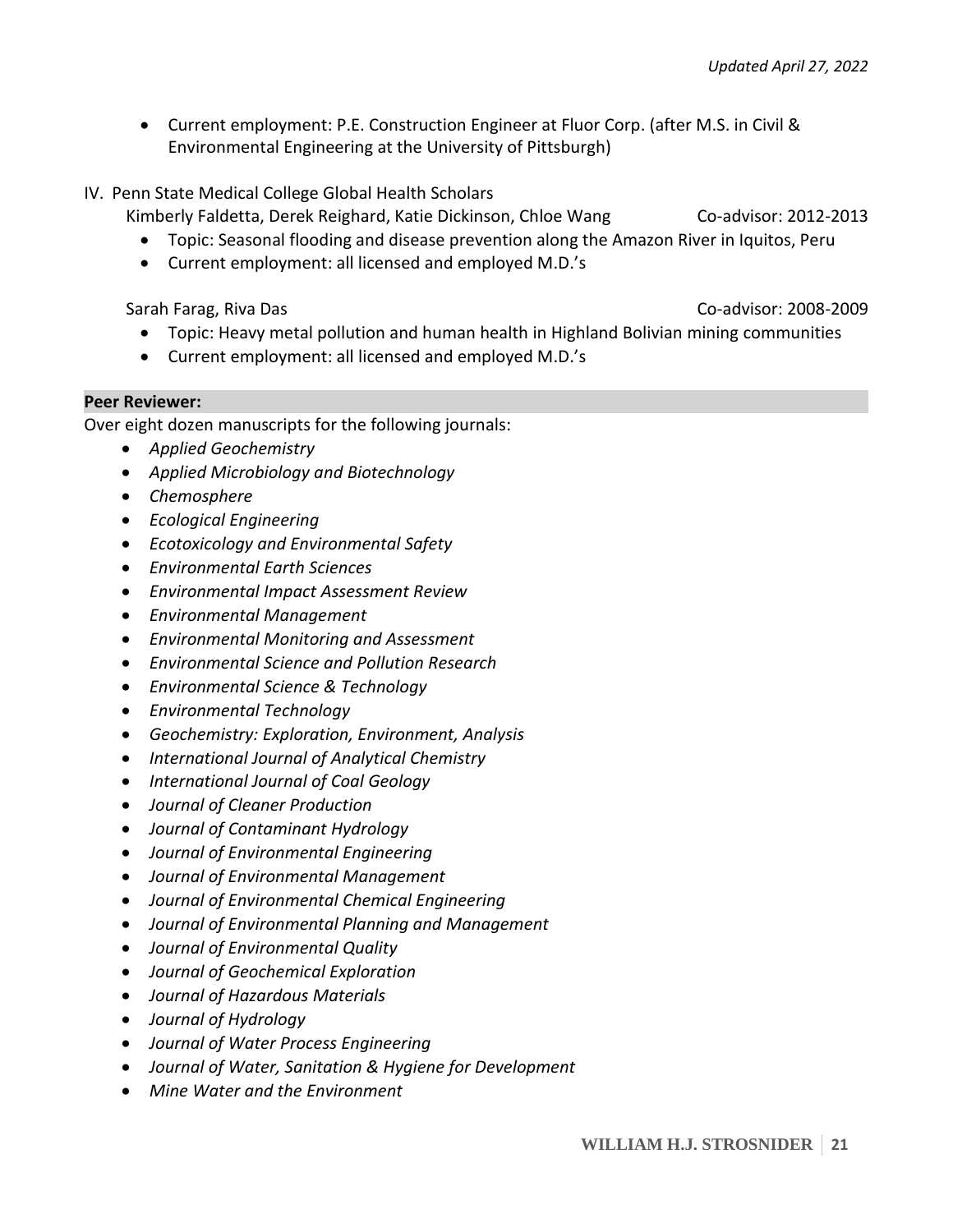- Current employment: P.E. Construction Engineer at Fluor Corp. (after M.S. in Civil & Environmental Engineering at the University of Pittsburgh)
- IV. Penn State Medical College Global Health Scholars

Kimberly Faldetta, Derek Reighard, Katie Dickinson, Chloe Wang Co-advisor: 2012-2013

- Topic: Seasonal flooding and disease prevention along the Amazon River in Iquitos, Peru
- Current employment: all licensed and employed M.D.'s

- Sarah Farag, Riva Das Co-advisor: 2008-2009
	- Topic: Heavy metal pollution and human health in Highland Bolivian mining communities
	- Current employment: all licensed and employed M.D.'s

#### **Peer Reviewer:**

Over eight dozen manuscripts for the following journals:

- *Applied Geochemistry*
- *Applied Microbiology and Biotechnology*
- *Chemosphere*
- *Ecological Engineering*
- *Ecotoxicology and Environmental Safety*
- *Environmental Earth Sciences*
- *Environmental Impact Assessment Review*
- *Environmental Management*
- *Environmental Monitoring and Assessment*
- *Environmental Science and Pollution Research*
- *Environmental Science & Technology*
- *Environmental Technology*
- *Geochemistry: Exploration, Environment, Analysis*
- *International Journal of Analytical Chemistry*
- *International Journal of Coal Geology*
- *Journal of Cleaner Production*
- *Journal of Contaminant Hydrology*
- *Journal of Environmental Engineering*
- *Journal of Environmental Management*
- *Journal of Environmental Chemical Engineering*
- *Journal of Environmental Planning and Management*
- *Journal of Environmental Quality*
- *Journal of Geochemical Exploration*
- *Journal of Hazardous Materials*
- *Journal of Hydrology*
- *Journal of Water Process Engineering*
- *Journal of Water, Sanitation & Hygiene for Development*
- *Mine Water and the Environment*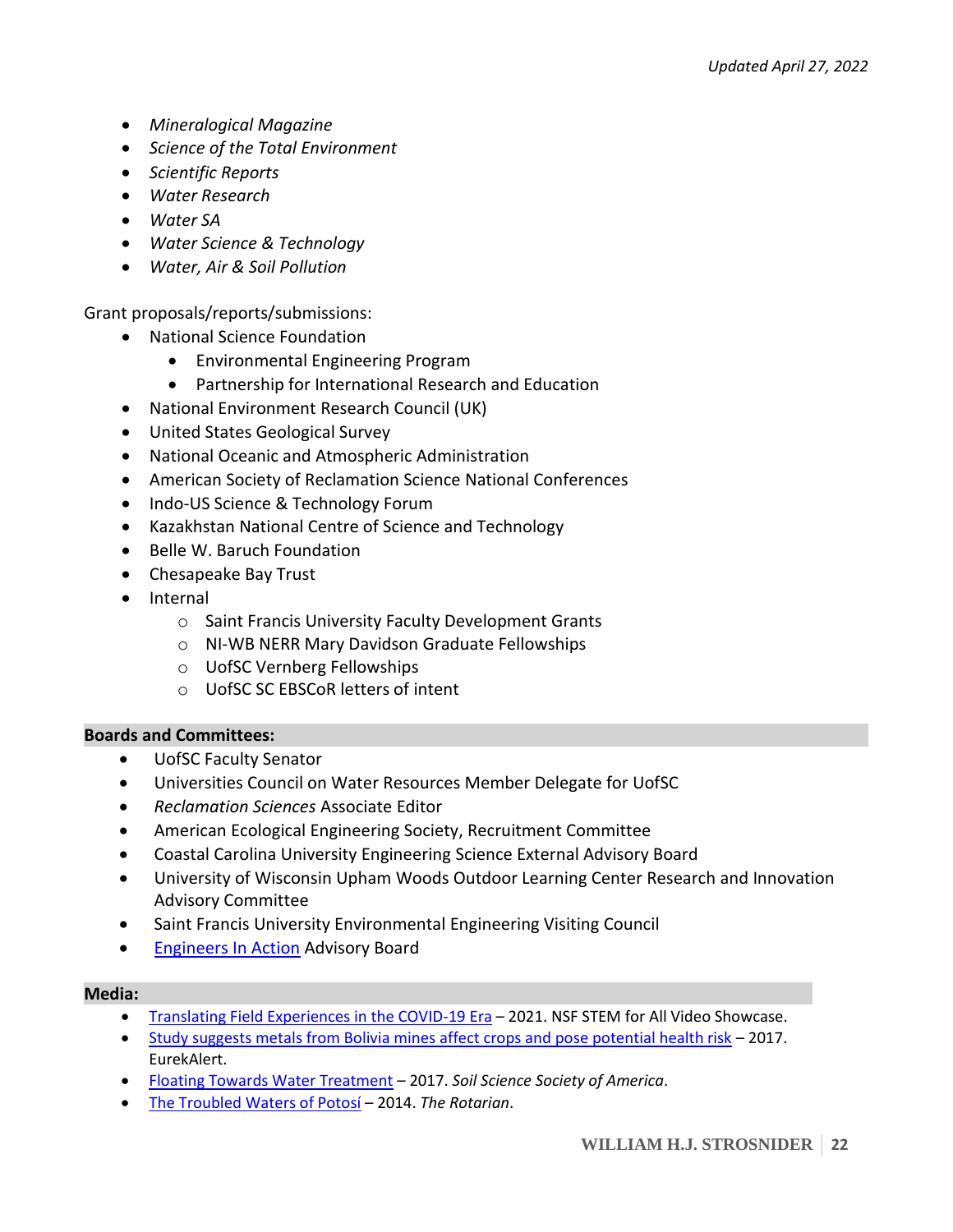- *Mineralogical Magazine*
- *Science of the Total Environment*
- *Scientific Reports*
- *Water Research*
- *Water SA*
- *Water Science & Technology*
- *Water, Air & Soil Pollution*

Grant proposals/reports/submissions:

- National Science Foundation
	- Environmental Engineering Program
	- Partnership for International Research and Education
- National Environment Research Council (UK)
- United States Geological Survey
- National Oceanic and Atmospheric Administration
- American Society of Reclamation Science National Conferences
- Indo-US Science & Technology Forum
- Kazakhstan National Centre of Science and Technology
- Belle W. Baruch Foundation
- Chesapeake Bay Trust
- Internal
	- o Saint Francis University Faculty Development Grants
	- o NI-WB NERR Mary Davidson Graduate Fellowships
	- o UofSC Vernberg Fellowships
	- o UofSC SC EBSCoR letters of intent

#### **Boards and Committees:**

- UofSC Faculty Senator
- Universities Council on Water Resources Member Delegate for UofSC
- *Reclamation Sciences* Associate Editor
- American Ecological Engineering Society, Recruitment Committee
- Coastal Carolina University Engineering Science External Advisory Board
- University of Wisconsin Upham Woods Outdoor Learning Center Research and Innovation Advisory Committee
- Saint Francis University Environmental Engineering Visiting Council
- [Engineers In Action](http://engineersinaction.org/) Advisory Board

#### **Media:**

- [Translating Field Experiences in the COVID-19 Era](https://stemforall2021.videohall.com/presentations/2028) 2021. NSF STEM for All Video Showcase.
- [Study suggests metals from Bolivia mines affect crops and pose potential health risk](https://www.eurekalert.org/pub_releases/2017-05/uoo-ssm052417.php) 2017. EurekAlert.
- [Floating Towards Water Treatment](https://www.soils.org/discover-soils/story/floating-towards-water-treatment) 2017. *Soil Science Society of America*.
- [The Troubled Waters of Potosí](http://therotarianmagazine.com/the-troubled-waters-of-potosi/) 2014. *The Rotarian*.